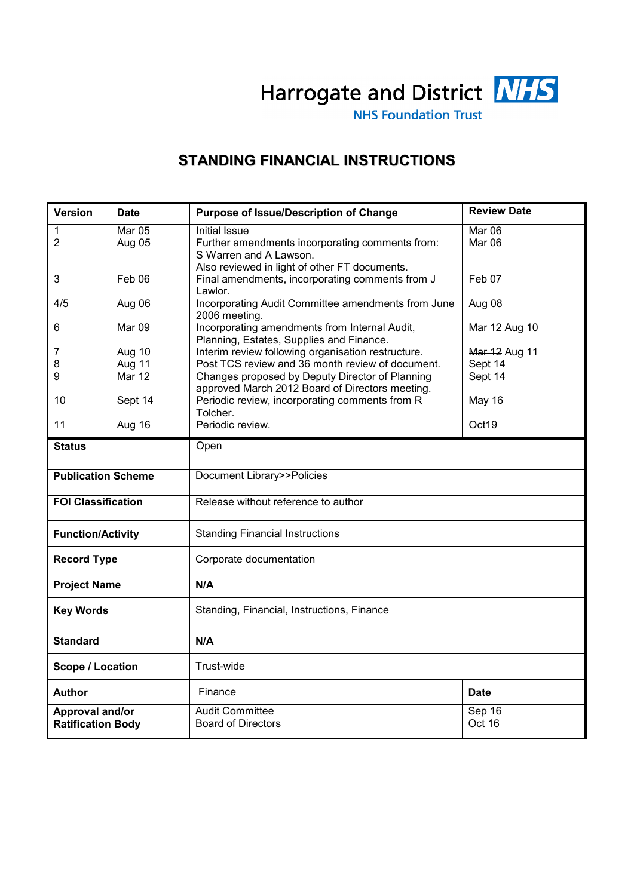

**NHS Foundation Trust** 

# **STANDING FINANCIAL INSTRUCTIONS**

| <b>Version</b>                              | <b>Date</b>      | <b>Purpose of Issue/Description of Change</b>                                                               | <b>Review Date</b> |  |
|---------------------------------------------|------------------|-------------------------------------------------------------------------------------------------------------|--------------------|--|
| 1<br>$\overline{2}$                         | Mar 05<br>Aug 05 | <b>Initial Issue</b><br>Further amendments incorporating comments from:<br>S Warren and A Lawson.           | Mar 06<br>Mar 06   |  |
| 3                                           | Feb 06           | Also reviewed in light of other FT documents.<br>Final amendments, incorporating comments from J<br>Lawlor. | Feb 07             |  |
| 4/5                                         | Aug 06           | Incorporating Audit Committee amendments from June<br>2006 meeting.                                         | Aug 08             |  |
| 6                                           | Mar 09           | Incorporating amendments from Internal Audit,<br>Planning, Estates, Supplies and Finance.                   | Mar 12 Aug 10      |  |
| 7                                           | Aug 10           | Interim review following organisation restructure.                                                          | Mar 12 Aug 11      |  |
| 8                                           | Aug 11           | Post TCS review and 36 month review of document.                                                            | Sept 14            |  |
| 9                                           | <b>Mar 12</b>    | Changes proposed by Deputy Director of Planning<br>approved March 2012 Board of Directors meeting.          | Sept 14            |  |
| 10                                          | Sept 14          | Periodic review, incorporating comments from R<br>Tolcher.                                                  | May 16             |  |
| 11                                          | Aug 16           | Periodic review.                                                                                            | Oct19              |  |
| <b>Status</b>                               |                  | Open                                                                                                        |                    |  |
| <b>Publication Scheme</b>                   |                  | Document Library>>Policies                                                                                  |                    |  |
| <b>FOI Classification</b>                   |                  | Release without reference to author                                                                         |                    |  |
| <b>Function/Activity</b>                    |                  | <b>Standing Financial Instructions</b>                                                                      |                    |  |
| <b>Record Type</b>                          |                  | Corporate documentation                                                                                     |                    |  |
| <b>Project Name</b>                         |                  | N/A                                                                                                         |                    |  |
| <b>Key Words</b>                            |                  | Standing, Financial, Instructions, Finance                                                                  |                    |  |
| <b>Standard</b>                             |                  | N/A                                                                                                         |                    |  |
| <b>Scope / Location</b>                     |                  | Trust-wide                                                                                                  |                    |  |
| Author                                      |                  | Finance                                                                                                     | <b>Date</b>        |  |
| Approval and/or<br><b>Ratification Body</b> |                  | <b>Audit Committee</b><br><b>Board of Directors</b>                                                         | Sep 16<br>Oct 16   |  |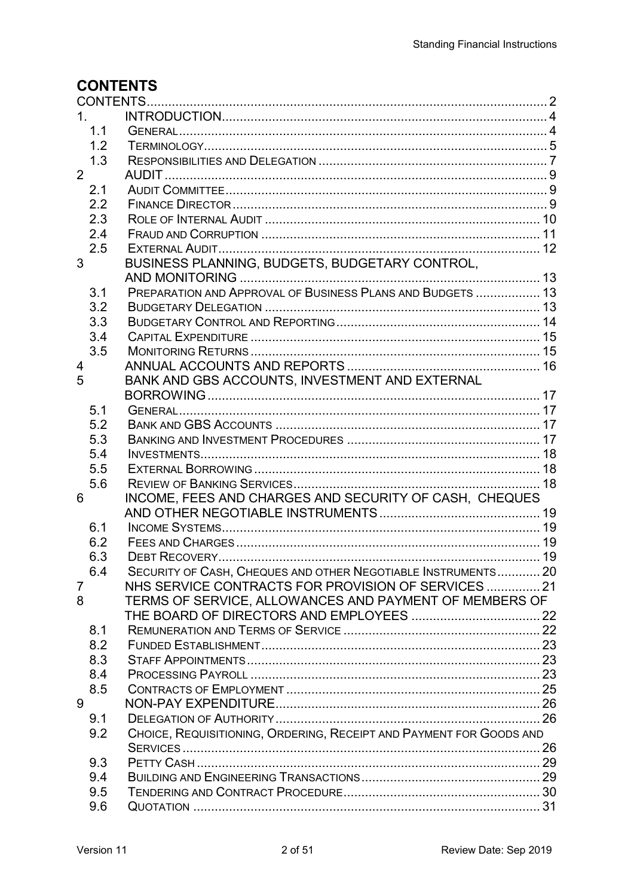# **CONTENTS**

| 1.<br>1.1<br>1.2<br>1.3<br>$\overline{2}$<br>2.1<br>2.2<br>2.3<br>2.4<br>2.5<br>BUSINESS PLANNING, BUDGETS, BUDGETARY CONTROL,<br>3<br>PREPARATION AND APPROVAL OF BUSINESS PLANS AND BUDGETS  13<br>3.1<br>3.2<br>3.3<br>3.4<br>3.5<br>4<br>BANK AND GBS ACCOUNTS, INVESTMENT AND EXTERNAL<br>5<br>5.1<br>5.2<br>5.3<br>5.4<br>5.5<br>5.6<br>INCOME, FEES AND CHARGES AND SECURITY OF CASH, CHEQUES<br>6<br>6.1<br>6.2<br>6.3<br>SECURITY OF CASH, CHEQUES AND OTHER NEGOTIABLE INSTRUMENTS 20<br>6.4<br>NHS SERVICE CONTRACTS FOR PROVISION OF SERVICES  21<br>7<br>TERMS OF SERVICE, ALLOWANCES AND PAYMENT OF MEMBERS OF<br>8<br>8.1<br>8.2<br>8.3<br>8.4<br>8.5<br>9<br>9.1<br>CHOICE, REQUISITIONING, ORDERING, RECEIPT AND PAYMENT FOR GOODS AND<br>9.2<br>9.3<br>9.4<br>9.5 |     |  |  |  |  |  |
|-------------------------------------------------------------------------------------------------------------------------------------------------------------------------------------------------------------------------------------------------------------------------------------------------------------------------------------------------------------------------------------------------------------------------------------------------------------------------------------------------------------------------------------------------------------------------------------------------------------------------------------------------------------------------------------------------------------------------------------------------------------------------------------|-----|--|--|--|--|--|
|                                                                                                                                                                                                                                                                                                                                                                                                                                                                                                                                                                                                                                                                                                                                                                                     |     |  |  |  |  |  |
|                                                                                                                                                                                                                                                                                                                                                                                                                                                                                                                                                                                                                                                                                                                                                                                     |     |  |  |  |  |  |
|                                                                                                                                                                                                                                                                                                                                                                                                                                                                                                                                                                                                                                                                                                                                                                                     |     |  |  |  |  |  |
|                                                                                                                                                                                                                                                                                                                                                                                                                                                                                                                                                                                                                                                                                                                                                                                     |     |  |  |  |  |  |
|                                                                                                                                                                                                                                                                                                                                                                                                                                                                                                                                                                                                                                                                                                                                                                                     |     |  |  |  |  |  |
|                                                                                                                                                                                                                                                                                                                                                                                                                                                                                                                                                                                                                                                                                                                                                                                     |     |  |  |  |  |  |
|                                                                                                                                                                                                                                                                                                                                                                                                                                                                                                                                                                                                                                                                                                                                                                                     |     |  |  |  |  |  |
|                                                                                                                                                                                                                                                                                                                                                                                                                                                                                                                                                                                                                                                                                                                                                                                     |     |  |  |  |  |  |
|                                                                                                                                                                                                                                                                                                                                                                                                                                                                                                                                                                                                                                                                                                                                                                                     |     |  |  |  |  |  |
|                                                                                                                                                                                                                                                                                                                                                                                                                                                                                                                                                                                                                                                                                                                                                                                     |     |  |  |  |  |  |
|                                                                                                                                                                                                                                                                                                                                                                                                                                                                                                                                                                                                                                                                                                                                                                                     |     |  |  |  |  |  |
|                                                                                                                                                                                                                                                                                                                                                                                                                                                                                                                                                                                                                                                                                                                                                                                     |     |  |  |  |  |  |
|                                                                                                                                                                                                                                                                                                                                                                                                                                                                                                                                                                                                                                                                                                                                                                                     |     |  |  |  |  |  |
|                                                                                                                                                                                                                                                                                                                                                                                                                                                                                                                                                                                                                                                                                                                                                                                     |     |  |  |  |  |  |
|                                                                                                                                                                                                                                                                                                                                                                                                                                                                                                                                                                                                                                                                                                                                                                                     |     |  |  |  |  |  |
|                                                                                                                                                                                                                                                                                                                                                                                                                                                                                                                                                                                                                                                                                                                                                                                     |     |  |  |  |  |  |
|                                                                                                                                                                                                                                                                                                                                                                                                                                                                                                                                                                                                                                                                                                                                                                                     |     |  |  |  |  |  |
|                                                                                                                                                                                                                                                                                                                                                                                                                                                                                                                                                                                                                                                                                                                                                                                     |     |  |  |  |  |  |
|                                                                                                                                                                                                                                                                                                                                                                                                                                                                                                                                                                                                                                                                                                                                                                                     |     |  |  |  |  |  |
|                                                                                                                                                                                                                                                                                                                                                                                                                                                                                                                                                                                                                                                                                                                                                                                     |     |  |  |  |  |  |
|                                                                                                                                                                                                                                                                                                                                                                                                                                                                                                                                                                                                                                                                                                                                                                                     |     |  |  |  |  |  |
|                                                                                                                                                                                                                                                                                                                                                                                                                                                                                                                                                                                                                                                                                                                                                                                     |     |  |  |  |  |  |
|                                                                                                                                                                                                                                                                                                                                                                                                                                                                                                                                                                                                                                                                                                                                                                                     |     |  |  |  |  |  |
|                                                                                                                                                                                                                                                                                                                                                                                                                                                                                                                                                                                                                                                                                                                                                                                     |     |  |  |  |  |  |
|                                                                                                                                                                                                                                                                                                                                                                                                                                                                                                                                                                                                                                                                                                                                                                                     |     |  |  |  |  |  |
|                                                                                                                                                                                                                                                                                                                                                                                                                                                                                                                                                                                                                                                                                                                                                                                     |     |  |  |  |  |  |
|                                                                                                                                                                                                                                                                                                                                                                                                                                                                                                                                                                                                                                                                                                                                                                                     |     |  |  |  |  |  |
|                                                                                                                                                                                                                                                                                                                                                                                                                                                                                                                                                                                                                                                                                                                                                                                     |     |  |  |  |  |  |
|                                                                                                                                                                                                                                                                                                                                                                                                                                                                                                                                                                                                                                                                                                                                                                                     |     |  |  |  |  |  |
|                                                                                                                                                                                                                                                                                                                                                                                                                                                                                                                                                                                                                                                                                                                                                                                     |     |  |  |  |  |  |
|                                                                                                                                                                                                                                                                                                                                                                                                                                                                                                                                                                                                                                                                                                                                                                                     |     |  |  |  |  |  |
|                                                                                                                                                                                                                                                                                                                                                                                                                                                                                                                                                                                                                                                                                                                                                                                     |     |  |  |  |  |  |
|                                                                                                                                                                                                                                                                                                                                                                                                                                                                                                                                                                                                                                                                                                                                                                                     |     |  |  |  |  |  |
|                                                                                                                                                                                                                                                                                                                                                                                                                                                                                                                                                                                                                                                                                                                                                                                     |     |  |  |  |  |  |
|                                                                                                                                                                                                                                                                                                                                                                                                                                                                                                                                                                                                                                                                                                                                                                                     |     |  |  |  |  |  |
|                                                                                                                                                                                                                                                                                                                                                                                                                                                                                                                                                                                                                                                                                                                                                                                     |     |  |  |  |  |  |
|                                                                                                                                                                                                                                                                                                                                                                                                                                                                                                                                                                                                                                                                                                                                                                                     |     |  |  |  |  |  |
|                                                                                                                                                                                                                                                                                                                                                                                                                                                                                                                                                                                                                                                                                                                                                                                     |     |  |  |  |  |  |
|                                                                                                                                                                                                                                                                                                                                                                                                                                                                                                                                                                                                                                                                                                                                                                                     |     |  |  |  |  |  |
|                                                                                                                                                                                                                                                                                                                                                                                                                                                                                                                                                                                                                                                                                                                                                                                     |     |  |  |  |  |  |
|                                                                                                                                                                                                                                                                                                                                                                                                                                                                                                                                                                                                                                                                                                                                                                                     |     |  |  |  |  |  |
|                                                                                                                                                                                                                                                                                                                                                                                                                                                                                                                                                                                                                                                                                                                                                                                     |     |  |  |  |  |  |
|                                                                                                                                                                                                                                                                                                                                                                                                                                                                                                                                                                                                                                                                                                                                                                                     |     |  |  |  |  |  |
|                                                                                                                                                                                                                                                                                                                                                                                                                                                                                                                                                                                                                                                                                                                                                                                     |     |  |  |  |  |  |
|                                                                                                                                                                                                                                                                                                                                                                                                                                                                                                                                                                                                                                                                                                                                                                                     |     |  |  |  |  |  |
|                                                                                                                                                                                                                                                                                                                                                                                                                                                                                                                                                                                                                                                                                                                                                                                     |     |  |  |  |  |  |
|                                                                                                                                                                                                                                                                                                                                                                                                                                                                                                                                                                                                                                                                                                                                                                                     |     |  |  |  |  |  |
|                                                                                                                                                                                                                                                                                                                                                                                                                                                                                                                                                                                                                                                                                                                                                                                     | 9.6 |  |  |  |  |  |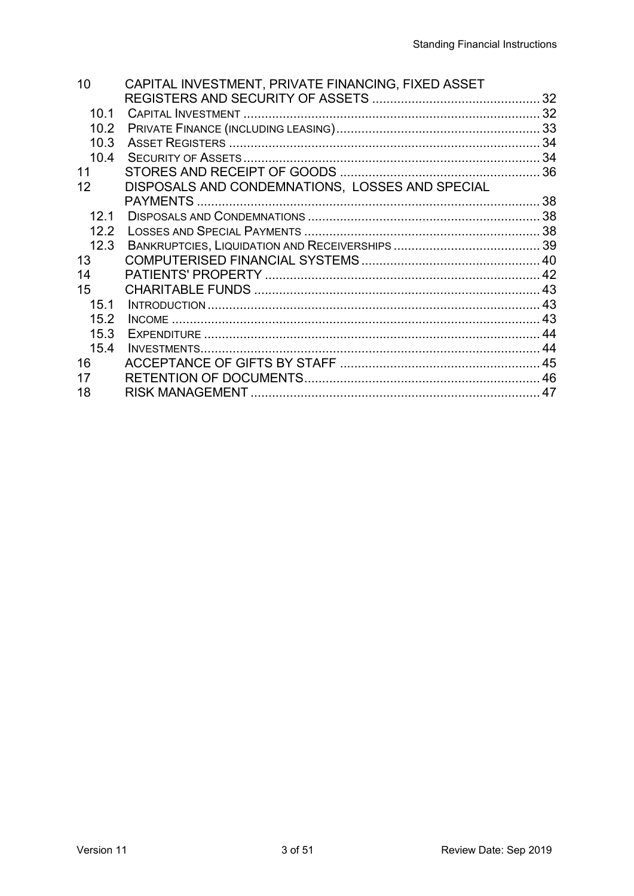| 10   | CAPITAL INVESTMENT, PRIVATE FINANCING, FIXED ASSET |     |
|------|----------------------------------------------------|-----|
|      |                                                    |     |
| 10.1 |                                                    |     |
| 10.2 |                                                    |     |
| 10.3 |                                                    |     |
| 10.4 |                                                    |     |
| 11   |                                                    |     |
| 12   | DISPOSALS AND CONDEMNATIONS, LOSSES AND SPECIAL    |     |
|      |                                                    |     |
| 12.1 |                                                    |     |
| 12.2 |                                                    |     |
| 12.3 |                                                    |     |
| 13   |                                                    |     |
| 14   |                                                    |     |
| 15   |                                                    |     |
| 15.1 |                                                    |     |
| 15.2 |                                                    |     |
| 15.3 |                                                    | 44  |
| 15.4 |                                                    |     |
| 16   |                                                    |     |
| 17   |                                                    |     |
| 18   |                                                    | .47 |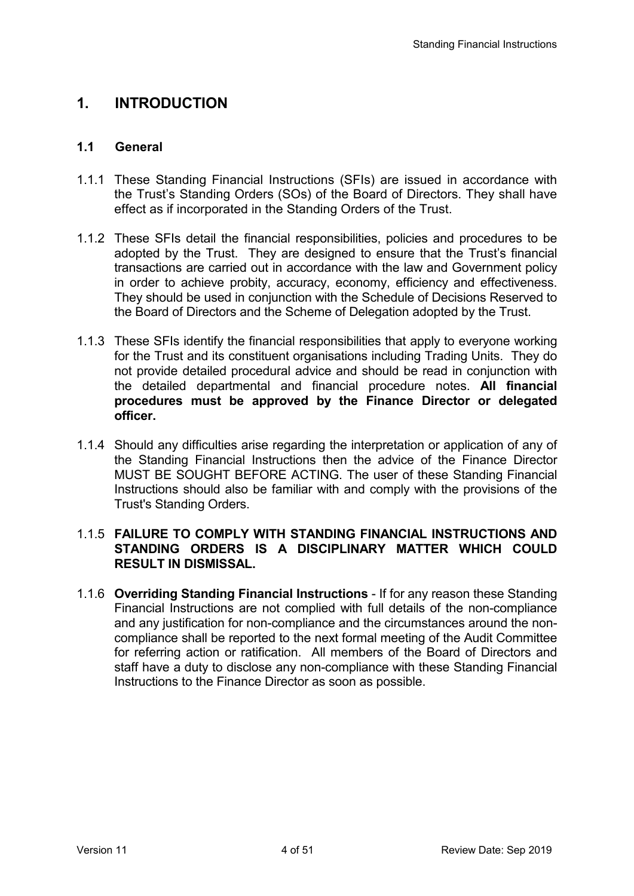## **1. INTRODUCTION**

### **1.1 General**

- 1.1.1 These Standing Financial Instructions (SFIs) are issued in accordance with the Trust's Standing Orders (SOs) of the Board of Directors. They shall have effect as if incorporated in the Standing Orders of the Trust.
- 1.1.2 These SFIs detail the financial responsibilities, policies and procedures to be adopted by the Trust. They are designed to ensure that the Trust's financial transactions are carried out in accordance with the law and Government policy in order to achieve probity, accuracy, economy, efficiency and effectiveness. They should be used in conjunction with the Schedule of Decisions Reserved to the Board of Directors and the Scheme of Delegation adopted by the Trust.
- 1.1.3 These SFIs identify the financial responsibilities that apply to everyone working for the Trust and its constituent organisations including Trading Units. They do not provide detailed procedural advice and should be read in conjunction with the detailed departmental and financial procedure notes. **All financial procedures must be approved by the Finance Director or delegated officer.**
- 1.1.4 Should any difficulties arise regarding the interpretation or application of any of the Standing Financial Instructions then the advice of the Finance Director MUST BE SOUGHT BEFORE ACTING. The user of these Standing Financial Instructions should also be familiar with and comply with the provisions of the Trust's Standing Orders.

### 1.1.5 **FAILURE TO COMPLY WITH STANDING FINANCIAL INSTRUCTIONS AND STANDING ORDERS IS A DISCIPLINARY MATTER WHICH COULD RESULT IN DISMISSAL.**

1.1.6 **Overriding Standing Financial Instructions** - If for any reason these Standing Financial Instructions are not complied with full details of the non-compliance and any justification for non-compliance and the circumstances around the noncompliance shall be reported to the next formal meeting of the Audit Committee for referring action or ratification. All members of the Board of Directors and staff have a duty to disclose any non-compliance with these Standing Financial Instructions to the Finance Director as soon as possible.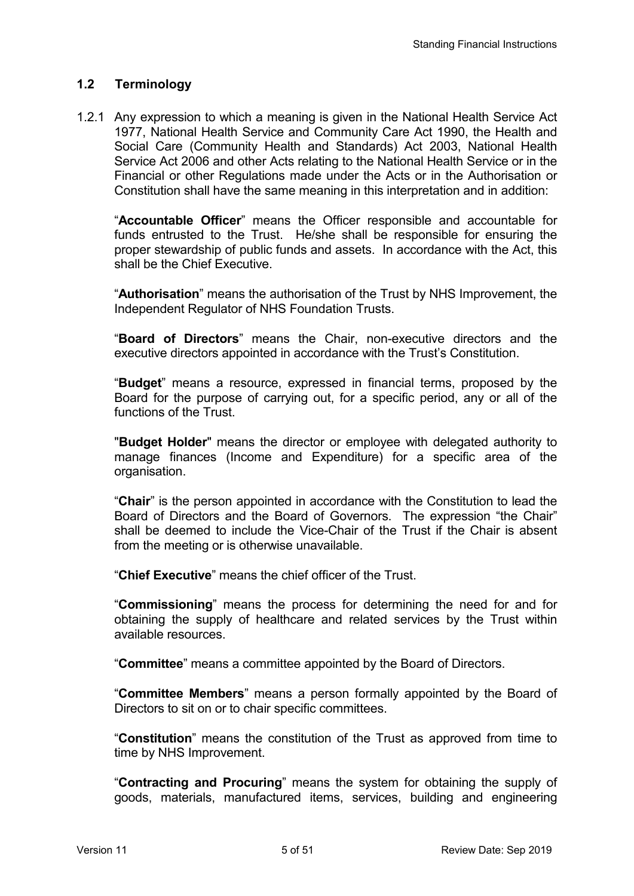## **1.2 Terminology**

1.2.1 Any expression to which a meaning is given in the National Health Service Act 1977, National Health Service and Community Care Act 1990, the Health and Social Care (Community Health and Standards) Act 2003, National Health Service Act 2006 and other Acts relating to the National Health Service or in the Financial or other Regulations made under the Acts or in the Authorisation or Constitution shall have the same meaning in this interpretation and in addition:

"**Accountable Officer**" means the Officer responsible and accountable for funds entrusted to the Trust. He/she shall be responsible for ensuring the proper stewardship of public funds and assets. In accordance with the Act, this shall be the Chief Executive.

"**Authorisation**" means the authorisation of the Trust by NHS Improvement, the Independent Regulator of NHS Foundation Trusts.

"**Board of Directors**" means the Chair, non-executive directors and the executive directors appointed in accordance with the Trust's Constitution.

"**Budget**" means a resource, expressed in financial terms, proposed by the Board for the purpose of carrying out, for a specific period, any or all of the functions of the Trust.

"**Budget Holder**" means the director or employee with delegated authority to manage finances (Income and Expenditure) for a specific area of the organisation.

"**Chair**" is the person appointed in accordance with the Constitution to lead the Board of Directors and the Board of Governors. The expression "the Chair" shall be deemed to include the Vice-Chair of the Trust if the Chair is absent from the meeting or is otherwise unavailable.

"**Chief Executive**" means the chief officer of the Trust.

"**Commissioning**" means the process for determining the need for and for obtaining the supply of healthcare and related services by the Trust within available resources.

"**Committee**" means a committee appointed by the Board of Directors.

"**Committee Members**" means a person formally appointed by the Board of Directors to sit on or to chair specific committees.

"**Constitution**" means the constitution of the Trust as approved from time to time by NHS Improvement.

"**Contracting and Procuring**" means the system for obtaining the supply of goods, materials, manufactured items, services, building and engineering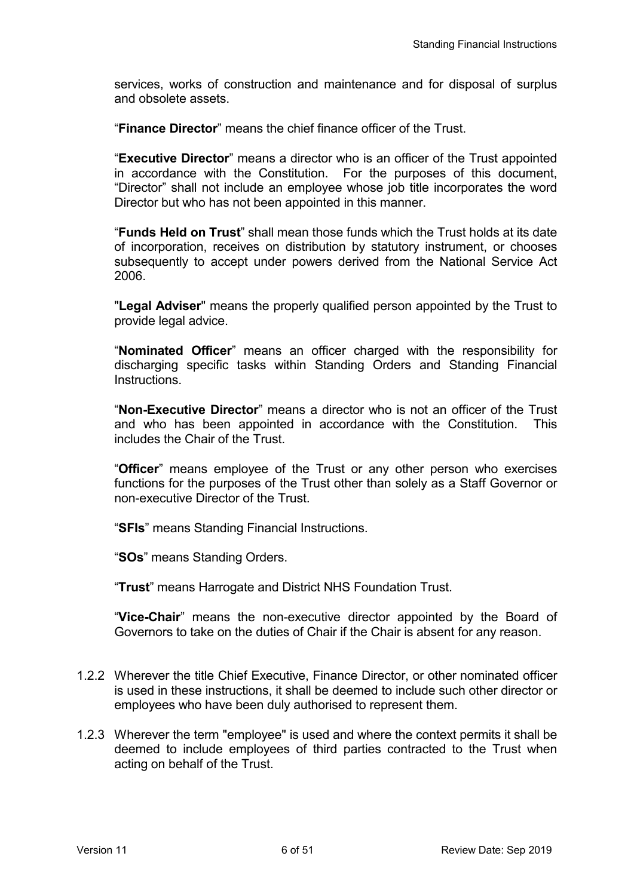services, works of construction and maintenance and for disposal of surplus and obsolete assets.

"**Finance Director**" means the chief finance officer of the Trust.

"**Executive Director**" means a director who is an officer of the Trust appointed in accordance with the Constitution. For the purposes of this document, "Director" shall not include an employee whose job title incorporates the word Director but who has not been appointed in this manner.

"**Funds Held on Trust**" shall mean those funds which the Trust holds at its date of incorporation, receives on distribution by statutory instrument, or chooses subsequently to accept under powers derived from the National Service Act 2006.

"**Legal Adviser**" means the properly qualified person appointed by the Trust to provide legal advice.

"**Nominated Officer**" means an officer charged with the responsibility for discharging specific tasks within Standing Orders and Standing Financial Instructions.

"**Non-Executive Director**" means a director who is not an officer of the Trust and who has been appointed in accordance with the Constitution. This includes the Chair of the Trust.

"**Officer**" means employee of the Trust or any other person who exercises functions for the purposes of the Trust other than solely as a Staff Governor or non-executive Director of the Trust.

"**SFIs**" means Standing Financial Instructions.

"**SOs**" means Standing Orders.

"**Trust**" means Harrogate and District NHS Foundation Trust.

"**Vice-Chair**" means the non-executive director appointed by the Board of Governors to take on the duties of Chair if the Chair is absent for any reason.

- 1.2.2 Wherever the title Chief Executive, Finance Director, or other nominated officer is used in these instructions, it shall be deemed to include such other director or employees who have been duly authorised to represent them.
- 1.2.3 Wherever the term "employee" is used and where the context permits it shall be deemed to include employees of third parties contracted to the Trust when acting on behalf of the Trust.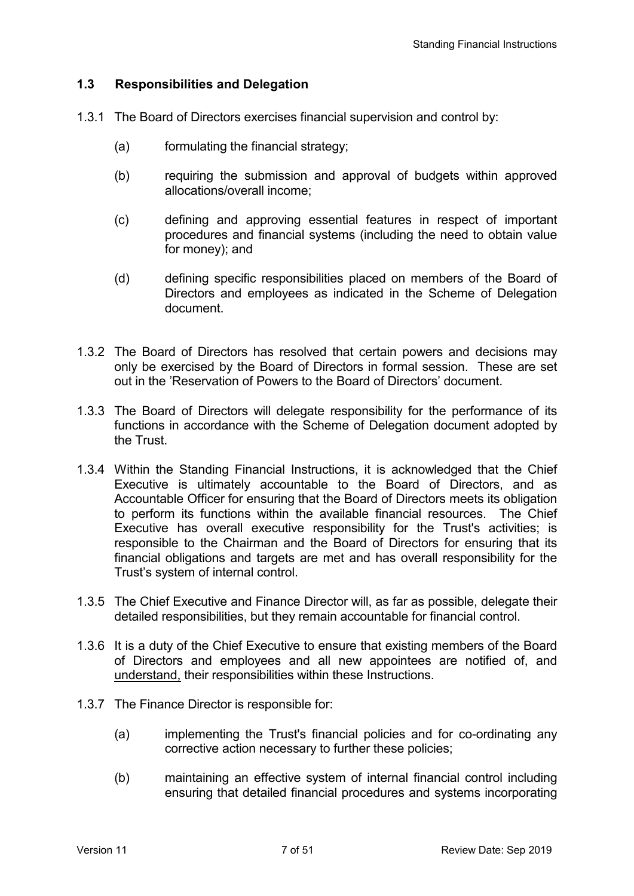### **1.3 Responsibilities and Delegation**

- 1.3.1 The Board of Directors exercises financial supervision and control by:
	- (a) formulating the financial strategy;
	- (b) requiring the submission and approval of budgets within approved allocations/overall income;
	- (c) defining and approving essential features in respect of important procedures and financial systems (including the need to obtain value for money); and
	- (d) defining specific responsibilities placed on members of the Board of Directors and employees as indicated in the Scheme of Delegation document.
- 1.3.2 The Board of Directors has resolved that certain powers and decisions may only be exercised by the Board of Directors in formal session. These are set out in the 'Reservation of Powers to the Board of Directors' document.
- 1.3.3 The Board of Directors will delegate responsibility for the performance of its functions in accordance with the Scheme of Delegation document adopted by the Trust.
- 1.3.4 Within the Standing Financial Instructions, it is acknowledged that the Chief Executive is ultimately accountable to the Board of Directors, and as Accountable Officer for ensuring that the Board of Directors meets its obligation to perform its functions within the available financial resources. The Chief Executive has overall executive responsibility for the Trust's activities; is responsible to the Chairman and the Board of Directors for ensuring that its financial obligations and targets are met and has overall responsibility for the Trust's system of internal control.
- 1.3.5 The Chief Executive and Finance Director will, as far as possible, delegate their detailed responsibilities, but they remain accountable for financial control.
- 1.3.6 It is a duty of the Chief Executive to ensure that existing members of the Board of Directors and employees and all new appointees are notified of, and understand, their responsibilities within these Instructions.
- 1.3.7 The Finance Director is responsible for:
	- (a) implementing the Trust's financial policies and for co-ordinating any corrective action necessary to further these policies;
	- (b) maintaining an effective system of internal financial control including ensuring that detailed financial procedures and systems incorporating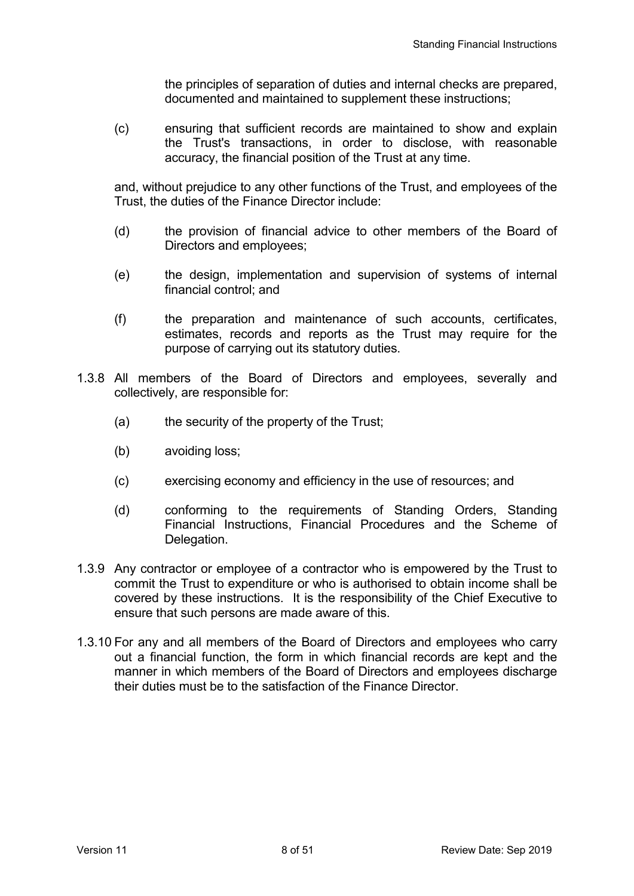the principles of separation of duties and internal checks are prepared, documented and maintained to supplement these instructions;

 (c) ensuring that sufficient records are maintained to show and explain the Trust's transactions, in order to disclose, with reasonable accuracy, the financial position of the Trust at any time.

 and, without prejudice to any other functions of the Trust, and employees of the Trust, the duties of the Finance Director include:

- (d) the provision of financial advice to other members of the Board of Directors and employees;
- (e) the design, implementation and supervision of systems of internal financial control; and
- (f) the preparation and maintenance of such accounts, certificates, estimates, records and reports as the Trust may require for the purpose of carrying out its statutory duties.
- 1.3.8 All members of the Board of Directors and employees, severally and collectively, are responsible for:
	- (a) the security of the property of the Trust;
	- (b) avoiding loss;
	- (c) exercising economy and efficiency in the use of resources; and
	- (d) conforming to the requirements of Standing Orders, Standing Financial Instructions, Financial Procedures and the Scheme of Delegation.
- 1.3.9 Any contractor or employee of a contractor who is empowered by the Trust to commit the Trust to expenditure or who is authorised to obtain income shall be covered by these instructions. It is the responsibility of the Chief Executive to ensure that such persons are made aware of this.
- 1.3.10 For any and all members of the Board of Directors and employees who carry out a financial function, the form in which financial records are kept and the manner in which members of the Board of Directors and employees discharge their duties must be to the satisfaction of the Finance Director.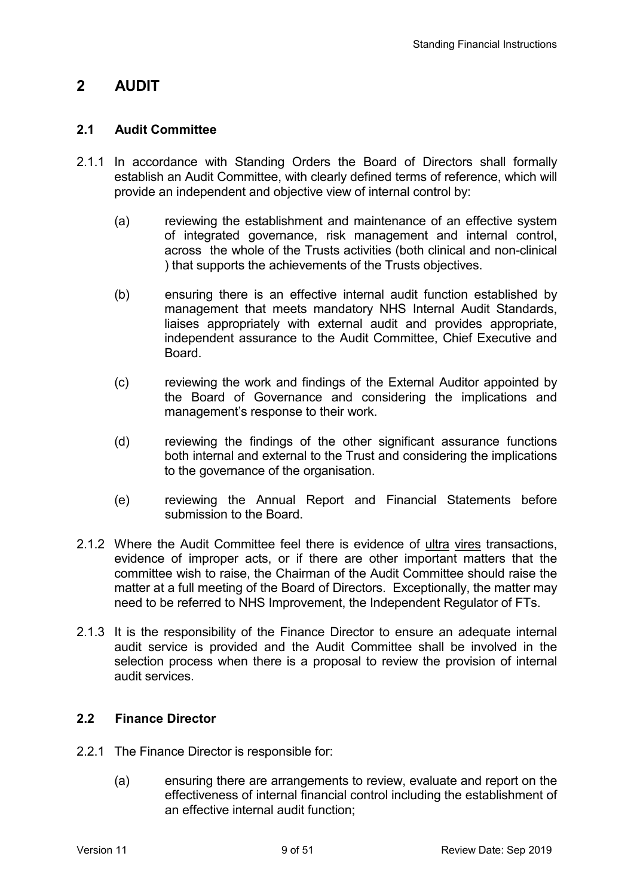# **2 AUDIT**

### **2.1 Audit Committee**

- 2.1.1 In accordance with Standing Orders the Board of Directors shall formally establish an Audit Committee, with clearly defined terms of reference, which will provide an independent and objective view of internal control by:
	- (a) reviewing the establishment and maintenance of an effective system of integrated governance, risk management and internal control, across the whole of the Trusts activities (both clinical and non-clinical ) that supports the achievements of the Trusts objectives.
	- (b) ensuring there is an effective internal audit function established by management that meets mandatory NHS Internal Audit Standards, liaises appropriately with external audit and provides appropriate, independent assurance to the Audit Committee, Chief Executive and **Board**
	- (c) reviewing the work and findings of the External Auditor appointed by the Board of Governance and considering the implications and management's response to their work.
	- (d) reviewing the findings of the other significant assurance functions both internal and external to the Trust and considering the implications to the governance of the organisation.
	- (e) reviewing the Annual Report and Financial Statements before submission to the Board.
- 2.1.2 Where the Audit Committee feel there is evidence of ultra vires transactions, evidence of improper acts, or if there are other important matters that the committee wish to raise, the Chairman of the Audit Committee should raise the matter at a full meeting of the Board of Directors. Exceptionally, the matter may need to be referred to NHS Improvement, the Independent Regulator of FTs.
- 2.1.3 It is the responsibility of the Finance Director to ensure an adequate internal audit service is provided and the Audit Committee shall be involved in the selection process when there is a proposal to review the provision of internal audit services.

## **2.2 Finance Director**

- 2.2.1 The Finance Director is responsible for:
	- (a) ensuring there are arrangements to review, evaluate and report on the effectiveness of internal financial control including the establishment of an effective internal audit function;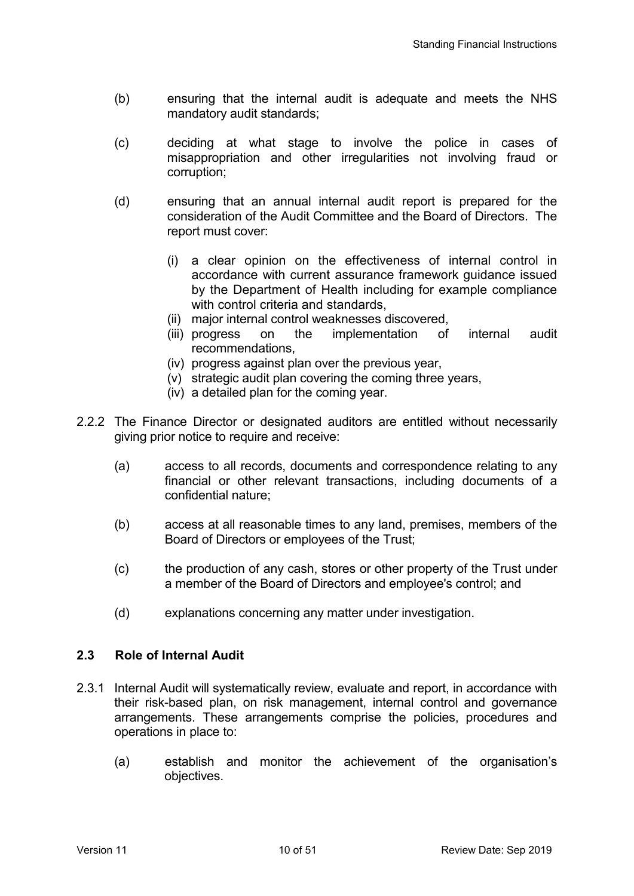- (b) ensuring that the internal audit is adequate and meets the NHS mandatory audit standards;
- (c) deciding at what stage to involve the police in cases of misappropriation and other irregularities not involving fraud or corruption;
- (d) ensuring that an annual internal audit report is prepared for the consideration of the Audit Committee and the Board of Directors. The report must cover:
	- (i) a clear opinion on the effectiveness of internal control in accordance with current assurance framework guidance issued by the Department of Health including for example compliance with control criteria and standards,
	- (ii) major internal control weaknesses discovered,<br>(iii) progress on the implementation of
	- on the implementation of internal audit recommendations,
	- (iv) progress against plan over the previous year,
	- (v) strategic audit plan covering the coming three years,
	- (iv) a detailed plan for the coming year.
- 2.2.2 The Finance Director or designated auditors are entitled without necessarily giving prior notice to require and receive:
	- (a) access to all records, documents and correspondence relating to any financial or other relevant transactions, including documents of a confidential nature;
	- (b) access at all reasonable times to any land, premises, members of the Board of Directors or employees of the Trust;
	- (c) the production of any cash, stores or other property of the Trust under a member of the Board of Directors and employee's control; and
	- (d) explanations concerning any matter under investigation.

### **2.3 Role of Internal Audit**

- 2.3.1 Internal Audit will systematically review, evaluate and report, in accordance with their risk-based plan, on risk management, internal control and governance arrangements. These arrangements comprise the policies, procedures and operations in place to:
	- (a) establish and monitor the achievement of the organisation's objectives.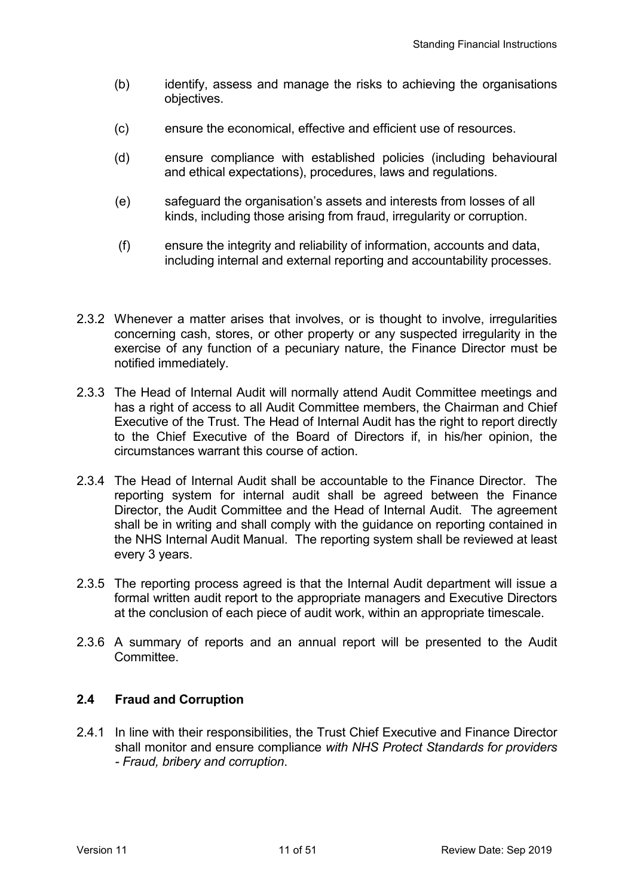- (b) identify, assess and manage the risks to achieving the organisations objectives.
- (c) ensure the economical, effective and efficient use of resources.
- (d) ensure compliance with established policies (including behavioural and ethical expectations), procedures, laws and regulations.
- (e) safeguard the organisation's assets and interests from losses of all kinds, including those arising from fraud, irregularity or corruption.
- (f) ensure the integrity and reliability of information, accounts and data, including internal and external reporting and accountability processes.
- 2.3.2 Whenever a matter arises that involves, or is thought to involve, irregularities concerning cash, stores, or other property or any suspected irregularity in the exercise of any function of a pecuniary nature, the Finance Director must be notified immediately.
- 2.3.3 The Head of Internal Audit will normally attend Audit Committee meetings and has a right of access to all Audit Committee members, the Chairman and Chief Executive of the Trust. The Head of Internal Audit has the right to report directly to the Chief Executive of the Board of Directors if, in his/her opinion, the circumstances warrant this course of action.
- 2.3.4 The Head of Internal Audit shall be accountable to the Finance Director. The reporting system for internal audit shall be agreed between the Finance Director, the Audit Committee and the Head of Internal Audit. The agreement shall be in writing and shall comply with the guidance on reporting contained in the NHS Internal Audit Manual. The reporting system shall be reviewed at least every 3 years.
- 2.3.5 The reporting process agreed is that the Internal Audit department will issue a formal written audit report to the appropriate managers and Executive Directors at the conclusion of each piece of audit work, within an appropriate timescale.
- 2.3.6 A summary of reports and an annual report will be presented to the Audit Committee.

## **2.4 Fraud and Corruption**

2.4.1 In line with their responsibilities, the Trust Chief Executive and Finance Director shall monitor and ensure compliance *with NHS Protect Standards for providers - Fraud, bribery and corruption*.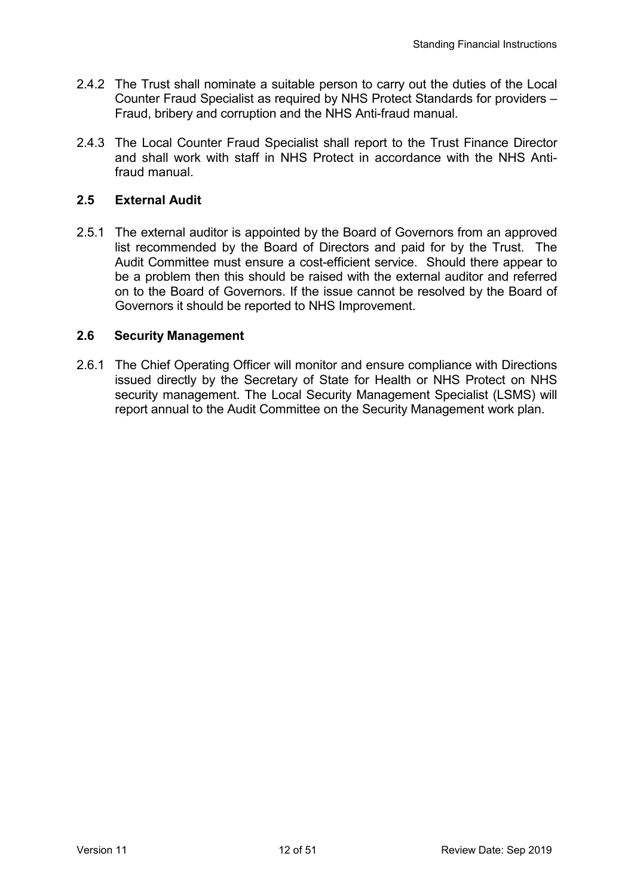- 2.4.2 The Trust shall nominate a suitable person to carry out the duties of the Local Counter Fraud Specialist as required by NHS Protect Standards for providers – Fraud, bribery and corruption and the NHS Anti-fraud manual.
- 2.4.3 The Local Counter Fraud Specialist shall report to the Trust Finance Director and shall work with staff in NHS Protect in accordance with the NHS Antifraud manual.

## **2.5 External Audit**

2.5.1 The external auditor is appointed by the Board of Governors from an approved list recommended by the Board of Directors and paid for by the Trust. The Audit Committee must ensure a cost-efficient service. Should there appear to be a problem then this should be raised with the external auditor and referred on to the Board of Governors. If the issue cannot be resolved by the Board of Governors it should be reported to NHS Improvement.

### **2.6 Security Management**

2.6.1 The Chief Operating Officer will monitor and ensure compliance with Directions issued directly by the Secretary of State for Health or NHS Protect on NHS security management. The Local Security Management Specialist (LSMS) will report annual to the Audit Committee on the Security Management work plan.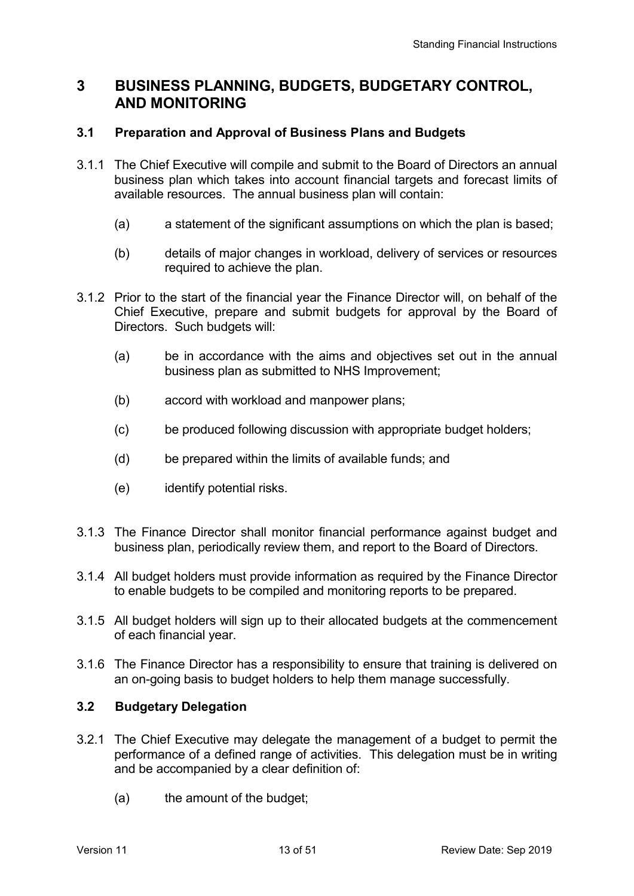## **3 BUSINESS PLANNING, BUDGETS, BUDGETARY CONTROL, AND MONITORING**

### **3.1 Preparation and Approval of Business Plans and Budgets**

- 3.1.1 The Chief Executive will compile and submit to the Board of Directors an annual business plan which takes into account financial targets and forecast limits of available resources. The annual business plan will contain:
	- (a) a statement of the significant assumptions on which the plan is based;
	- (b) details of major changes in workload, delivery of services or resources required to achieve the plan.
- 3.1.2 Prior to the start of the financial year the Finance Director will, on behalf of the Chief Executive, prepare and submit budgets for approval by the Board of Directors. Such budgets will:
	- (a) be in accordance with the aims and objectives set out in the annual business plan as submitted to NHS Improvement;
	- (b) accord with workload and manpower plans;
	- (c) be produced following discussion with appropriate budget holders;
	- (d) be prepared within the limits of available funds; and
	- (e) identify potential risks.
- 3.1.3 The Finance Director shall monitor financial performance against budget and business plan, periodically review them, and report to the Board of Directors.
- 3.1.4 All budget holders must provide information as required by the Finance Director to enable budgets to be compiled and monitoring reports to be prepared.
- 3.1.5 All budget holders will sign up to their allocated budgets at the commencement of each financial year.
- 3.1.6 The Finance Director has a responsibility to ensure that training is delivered on an on-going basis to budget holders to help them manage successfully.

### **3.2 Budgetary Delegation**

- 3.2.1 The Chief Executive may delegate the management of a budget to permit the performance of a defined range of activities. This delegation must be in writing and be accompanied by a clear definition of:
	- (a) the amount of the budget;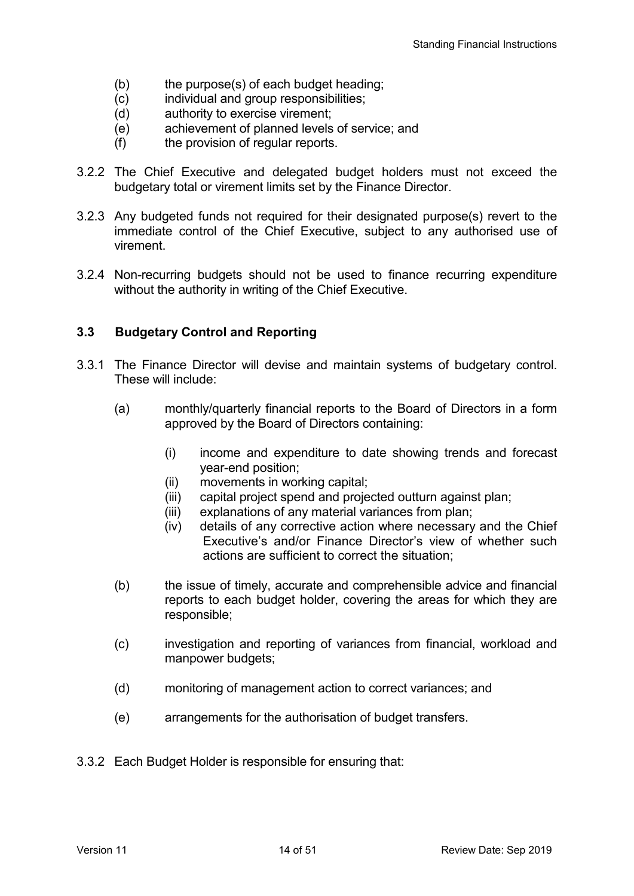- (b) the purpose(s) of each budget heading;
- (c) individual and group responsibilities;
- (d) authority to exercise virement;
- (e) achievement of planned levels of service; and
- (f) the provision of regular reports.
- 3.2.2 The Chief Executive and delegated budget holders must not exceed the budgetary total or virement limits set by the Finance Director.
- 3.2.3 Any budgeted funds not required for their designated purpose(s) revert to the immediate control of the Chief Executive, subject to any authorised use of virement.
- 3.2.4 Non-recurring budgets should not be used to finance recurring expenditure without the authority in writing of the Chief Executive.

## **3.3 Budgetary Control and Reporting**

- 3.3.1 The Finance Director will devise and maintain systems of budgetary control. These will include:
	- (a) monthly/quarterly financial reports to the Board of Directors in a form approved by the Board of Directors containing:
		- (i) income and expenditure to date showing trends and forecast year-end position;
		- (ii) movements in working capital;
		- (iii) capital project spend and projected outturn against plan;
		- (iii) explanations of any material variances from plan;
		- (iv) details of any corrective action where necessary and the Chief Executive's and/or Finance Director's view of whether such actions are sufficient to correct the situation;
	- (b) the issue of timely, accurate and comprehensible advice and financial reports to each budget holder, covering the areas for which they are responsible;
	- (c) investigation and reporting of variances from financial, workload and manpower budgets;
	- (d) monitoring of management action to correct variances; and
	- (e) arrangements for the authorisation of budget transfers.
- 3.3.2 Each Budget Holder is responsible for ensuring that: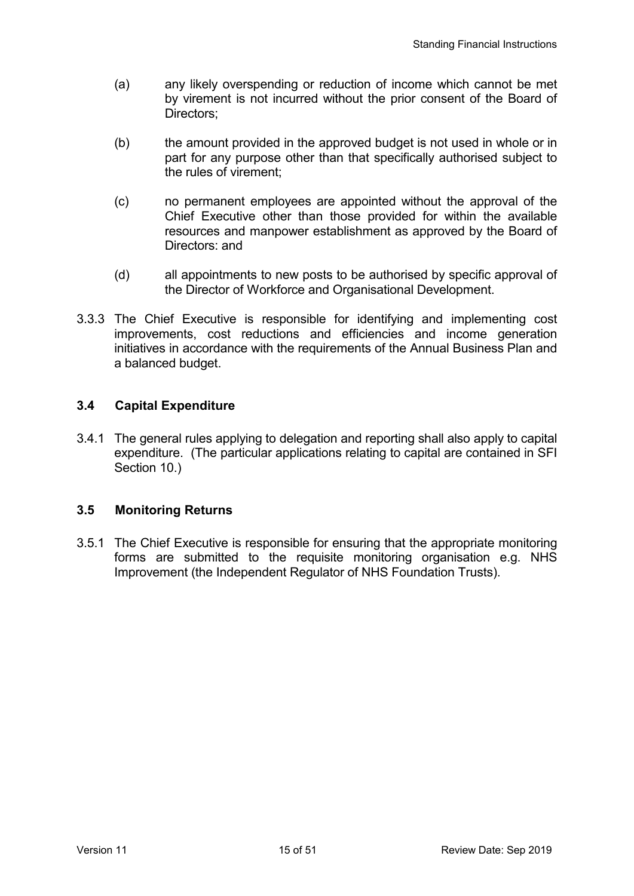- (a) any likely overspending or reduction of income which cannot be met by virement is not incurred without the prior consent of the Board of Directors;
- (b) the amount provided in the approved budget is not used in whole or in part for any purpose other than that specifically authorised subject to the rules of virement;
- (c) no permanent employees are appointed without the approval of the Chief Executive other than those provided for within the available resources and manpower establishment as approved by the Board of Directors: and
- (d) all appointments to new posts to be authorised by specific approval of the Director of Workforce and Organisational Development.
- 3.3.3 The Chief Executive is responsible for identifying and implementing cost improvements, cost reductions and efficiencies and income generation initiatives in accordance with the requirements of the Annual Business Plan and a balanced budget.

## **3.4 Capital Expenditure**

3.4.1 The general rules applying to delegation and reporting shall also apply to capital expenditure. (The particular applications relating to capital are contained in SFI Section 10.)

## **3.5 Monitoring Returns**

3.5.1 The Chief Executive is responsible for ensuring that the appropriate monitoring forms are submitted to the requisite monitoring organisation e.g. NHS Improvement (the Independent Regulator of NHS Foundation Trusts).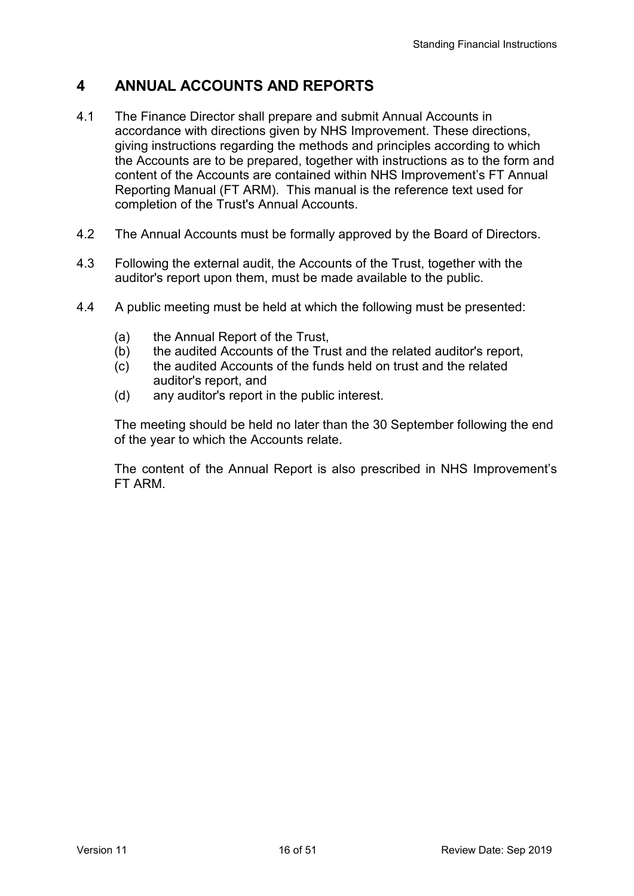# **4 ANNUAL ACCOUNTS AND REPORTS**

- 4.1 The Finance Director shall prepare and submit Annual Accounts in accordance with directions given by NHS Improvement. These directions, giving instructions regarding the methods and principles according to which the Accounts are to be prepared, together with instructions as to the form and content of the Accounts are contained within NHS Improvement's FT Annual Reporting Manual (FT ARM). This manual is the reference text used for completion of the Trust's Annual Accounts.
- 4.2 The Annual Accounts must be formally approved by the Board of Directors.
- 4.3 Following the external audit, the Accounts of the Trust, together with the auditor's report upon them, must be made available to the public.
- 4.4 A public meeting must be held at which the following must be presented:
	- (a) the Annual Report of the Trust,
	- (b) the audited Accounts of the Trust and the related auditor's report,
	- (c) the audited Accounts of the funds held on trust and the related auditor's report, and
	- (d) any auditor's report in the public interest.

The meeting should be held no later than the 30 September following the end of the year to which the Accounts relate.

 The content of the Annual Report is also prescribed in NHS Improvement's FT ARM.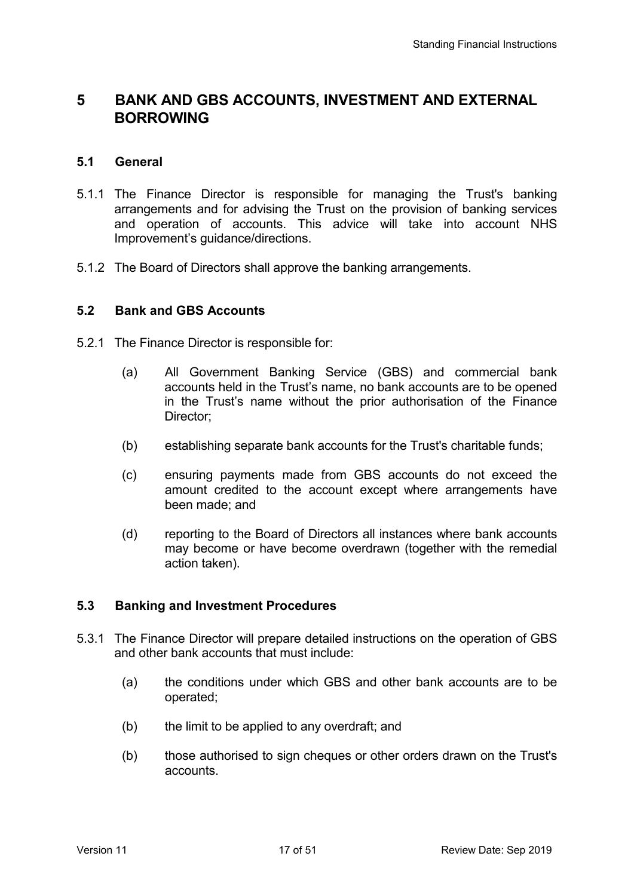# **5 BANK AND GBS ACCOUNTS, INVESTMENT AND EXTERNAL BORROWING**

### **5.1 General**

- 5.1.1 The Finance Director is responsible for managing the Trust's banking arrangements and for advising the Trust on the provision of banking services and operation of accounts. This advice will take into account NHS Improvement's guidance/directions.
- 5.1.2 The Board of Directors shall approve the banking arrangements.

#### **5.2 Bank and GBS Accounts**

- 5.2.1 The Finance Director is responsible for:
	- (a) All Government Banking Service (GBS) and commercial bank accounts held in the Trust's name, no bank accounts are to be opened in the Trust's name without the prior authorisation of the Finance Director;
	- (b) establishing separate bank accounts for the Trust's charitable funds;
	- (c) ensuring payments made from GBS accounts do not exceed the amount credited to the account except where arrangements have been made; and
	- (d) reporting to the Board of Directors all instances where bank accounts may become or have become overdrawn (together with the remedial action taken).

### **5.3 Banking and Investment Procedures**

- 5.3.1 The Finance Director will prepare detailed instructions on the operation of GBS and other bank accounts that must include:
	- (a) the conditions under which GBS and other bank accounts are to be operated;
	- (b) the limit to be applied to any overdraft; and
	- (b) those authorised to sign cheques or other orders drawn on the Trust's accounts.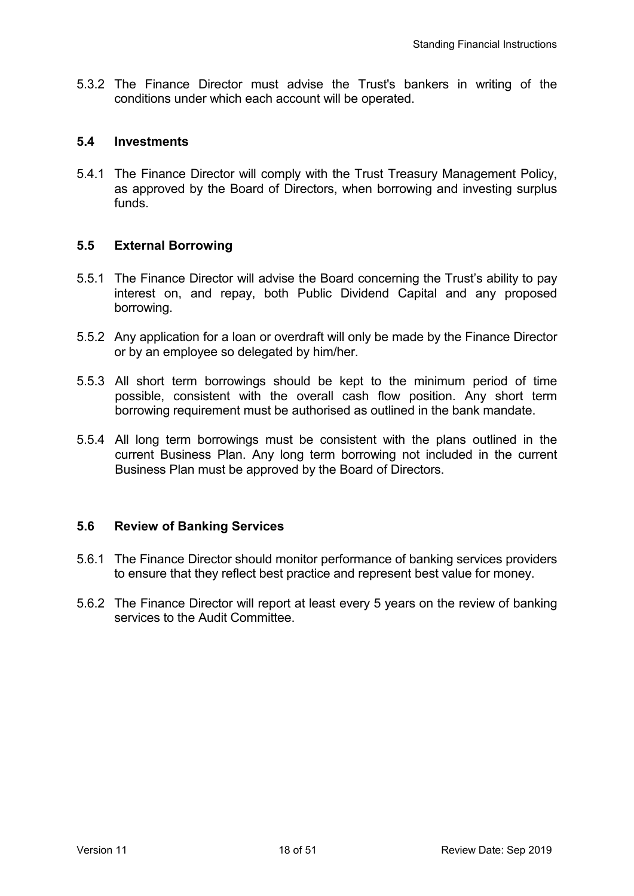5.3.2 The Finance Director must advise the Trust's bankers in writing of the conditions under which each account will be operated.

#### **5.4 Investments**

5.4.1 The Finance Director will comply with the Trust Treasury Management Policy, as approved by the Board of Directors, when borrowing and investing surplus funds.

### **5.5 External Borrowing**

- 5.5.1 The Finance Director will advise the Board concerning the Trust's ability to pay interest on, and repay, both Public Dividend Capital and any proposed borrowing.
- 5.5.2 Any application for a loan or overdraft will only be made by the Finance Director or by an employee so delegated by him/her.
- 5.5.3 All short term borrowings should be kept to the minimum period of time possible, consistent with the overall cash flow position. Any short term borrowing requirement must be authorised as outlined in the bank mandate.
- 5.5.4 All long term borrowings must be consistent with the plans outlined in the current Business Plan. Any long term borrowing not included in the current Business Plan must be approved by the Board of Directors.

### **5.6 Review of Banking Services**

- 5.6.1 The Finance Director should monitor performance of banking services providers to ensure that they reflect best practice and represent best value for money.
- 5.6.2 The Finance Director will report at least every 5 years on the review of banking services to the Audit Committee.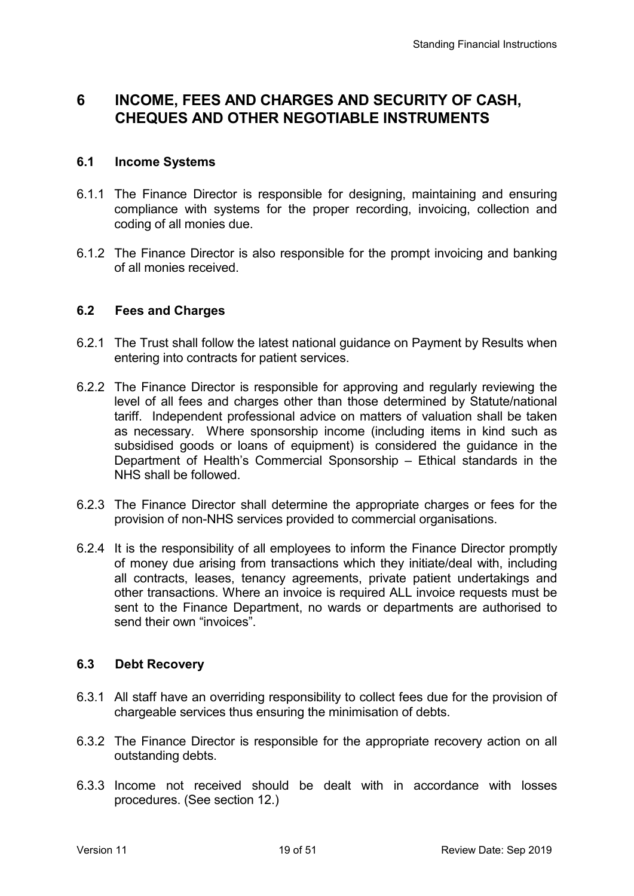# **6 INCOME, FEES AND CHARGES AND SECURITY OF CASH, CHEQUES AND OTHER NEGOTIABLE INSTRUMENTS**

### **6.1 Income Systems**

- 6.1.1 The Finance Director is responsible for designing, maintaining and ensuring compliance with systems for the proper recording, invoicing, collection and coding of all monies due.
- 6.1.2 The Finance Director is also responsible for the prompt invoicing and banking of all monies received.

### **6.2 Fees and Charges**

- 6.2.1 The Trust shall follow the latest national guidance on Payment by Results when entering into contracts for patient services.
- 6.2.2 The Finance Director is responsible for approving and regularly reviewing the level of all fees and charges other than those determined by Statute/national tariff. Independent professional advice on matters of valuation shall be taken as necessary. Where sponsorship income (including items in kind such as subsidised goods or loans of equipment) is considered the guidance in the Department of Health's Commercial Sponsorship – Ethical standards in the NHS shall be followed.
- 6.2.3 The Finance Director shall determine the appropriate charges or fees for the provision of non-NHS services provided to commercial organisations.
- 6.2.4 It is the responsibility of all employees to inform the Finance Director promptly of money due arising from transactions which they initiate/deal with, including all contracts, leases, tenancy agreements, private patient undertakings and other transactions. Where an invoice is required ALL invoice requests must be sent to the Finance Department, no wards or departments are authorised to send their own "invoices".

### **6.3 Debt Recovery**

- 6.3.1 All staff have an overriding responsibility to collect fees due for the provision of chargeable services thus ensuring the minimisation of debts.
- 6.3.2 The Finance Director is responsible for the appropriate recovery action on all outstanding debts.
- 6.3.3 Income not received should be dealt with in accordance with losses procedures. (See section 12.)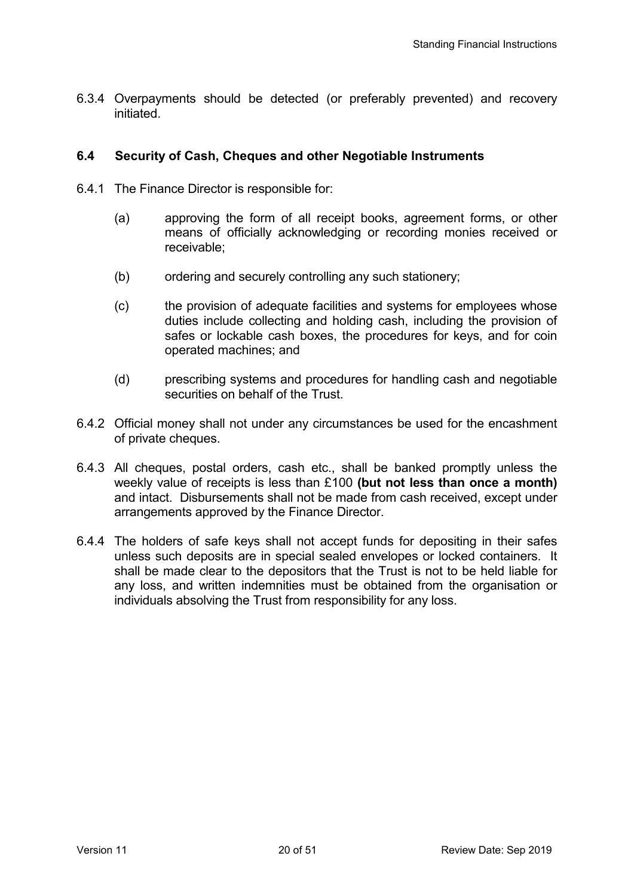6.3.4 Overpayments should be detected (or preferably prevented) and recovery initiated.

### **6.4 Security of Cash, Cheques and other Negotiable Instruments**

- 6.4.1 The Finance Director is responsible for:
	- (a) approving the form of all receipt books, agreement forms, or other means of officially acknowledging or recording monies received or receivable;
	- (b) ordering and securely controlling any such stationery;
	- (c) the provision of adequate facilities and systems for employees whose duties include collecting and holding cash, including the provision of safes or lockable cash boxes, the procedures for keys, and for coin operated machines; and
	- (d) prescribing systems and procedures for handling cash and negotiable securities on behalf of the Trust.
- 6.4.2 Official money shall not under any circumstances be used for the encashment of private cheques.
- 6.4.3 All cheques, postal orders, cash etc., shall be banked promptly unless the weekly value of receipts is less than £100 **(but not less than once a month)**  and intact. Disbursements shall not be made from cash received, except under arrangements approved by the Finance Director.
- 6.4.4 The holders of safe keys shall not accept funds for depositing in their safes unless such deposits are in special sealed envelopes or locked containers. It shall be made clear to the depositors that the Trust is not to be held liable for any loss, and written indemnities must be obtained from the organisation or individuals absolving the Trust from responsibility for any loss.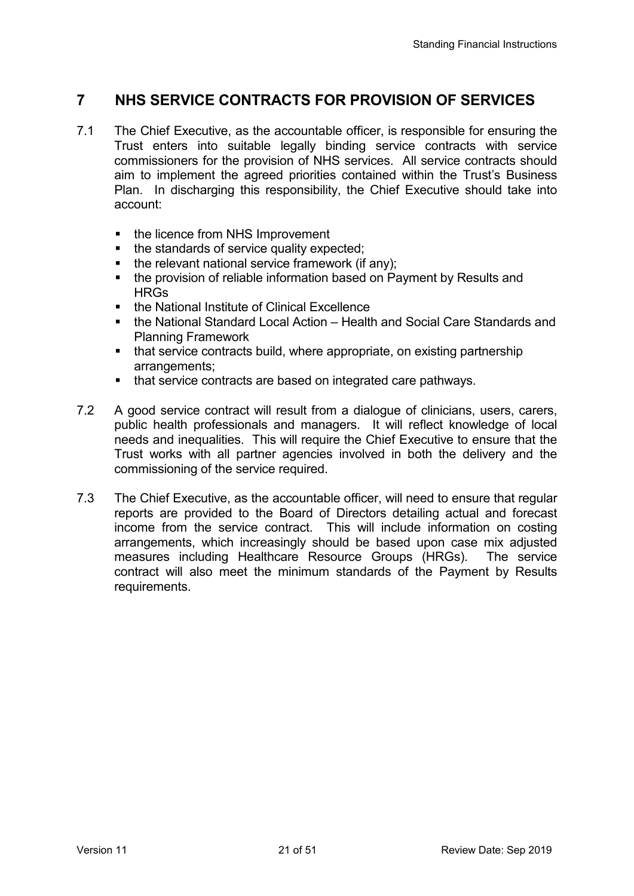# **7 NHS SERVICE CONTRACTS FOR PROVISION OF SERVICES**

- 7.1 The Chief Executive, as the accountable officer, is responsible for ensuring the Trust enters into suitable legally binding service contracts with service commissioners for the provision of NHS services. All service contracts should aim to implement the agreed priorities contained within the Trust's Business Plan. In discharging this responsibility, the Chief Executive should take into account:
	- the licence from NHS Improvement
	- the standards of service quality expected;
	- the relevant national service framework (if any);
	- the provision of reliable information based on Payment by Results and **HRGs**
	- the National Institute of Clinical Excellence
	- the National Standard Local Action Health and Social Care Standards and Planning Framework
	- that service contracts build, where appropriate, on existing partnership arrangements;
	- that service contracts are based on integrated care pathways.
- 7.2 A good service contract will result from a dialogue of clinicians, users, carers, public health professionals and managers. It will reflect knowledge of local needs and inequalities. This will require the Chief Executive to ensure that the Trust works with all partner agencies involved in both the delivery and the commissioning of the service required.
- 7.3 The Chief Executive, as the accountable officer, will need to ensure that regular reports are provided to the Board of Directors detailing actual and forecast income from the service contract. This will include information on costing arrangements, which increasingly should be based upon case mix adjusted measures including Healthcare Resource Groups (HRGs). The service contract will also meet the minimum standards of the Payment by Results requirements.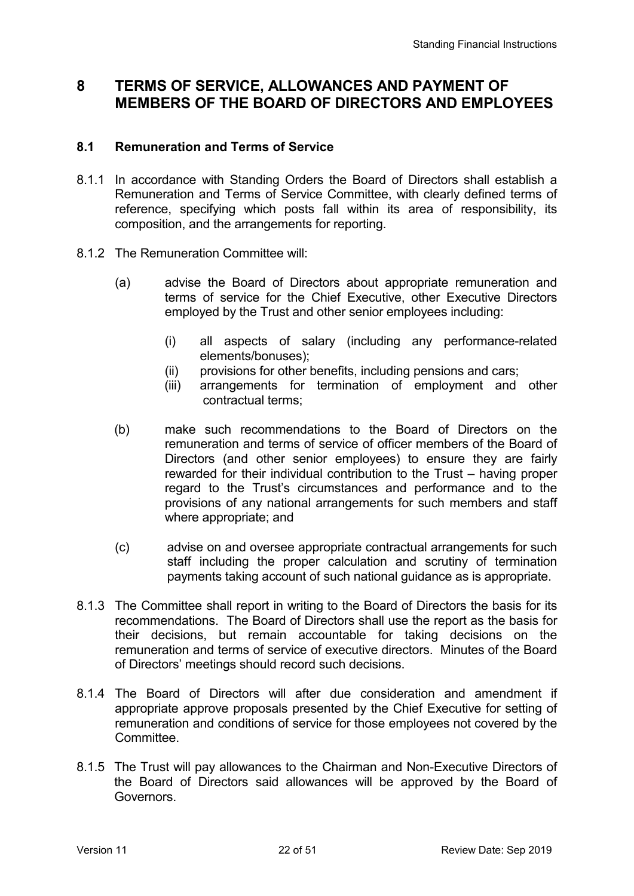## **8 TERMS OF SERVICE, ALLOWANCES AND PAYMENT OF MEMBERS OF THE BOARD OF DIRECTORS AND EMPLOYEES**

### **8.1 Remuneration and Terms of Service**

- 8.1.1 In accordance with Standing Orders the Board of Directors shall establish a Remuneration and Terms of Service Committee, with clearly defined terms of reference, specifying which posts fall within its area of responsibility, its composition, and the arrangements for reporting.
- 8.1.2 The Remuneration Committee will:
	- (a) advise the Board of Directors about appropriate remuneration and terms of service for the Chief Executive, other Executive Directors employed by the Trust and other senior employees including:
		- (i) all aspects of salary (including any performance-related elements/bonuses);
		- (ii) provisions for other benefits, including pensions and cars;
		- (iii) arrangements for termination of employment and other contractual terms;
	- (b) make such recommendations to the Board of Directors on the remuneration and terms of service of officer members of the Board of Directors (and other senior employees) to ensure they are fairly rewarded for their individual contribution to the Trust – having proper regard to the Trust's circumstances and performance and to the provisions of any national arrangements for such members and staff where appropriate; and
	- (c) advise on and oversee appropriate contractual arrangements for such staff including the proper calculation and scrutiny of termination payments taking account of such national guidance as is appropriate.
- 8.1.3 The Committee shall report in writing to the Board of Directors the basis for its recommendations. The Board of Directors shall use the report as the basis for their decisions, but remain accountable for taking decisions on the remuneration and terms of service of executive directors. Minutes of the Board of Directors' meetings should record such decisions.
- 8.1.4 The Board of Directors will after due consideration and amendment if appropriate approve proposals presented by the Chief Executive for setting of remuneration and conditions of service for those employees not covered by the **Committee.**
- 8.1.5 The Trust will pay allowances to the Chairman and Non-Executive Directors of the Board of Directors said allowances will be approved by the Board of Governors.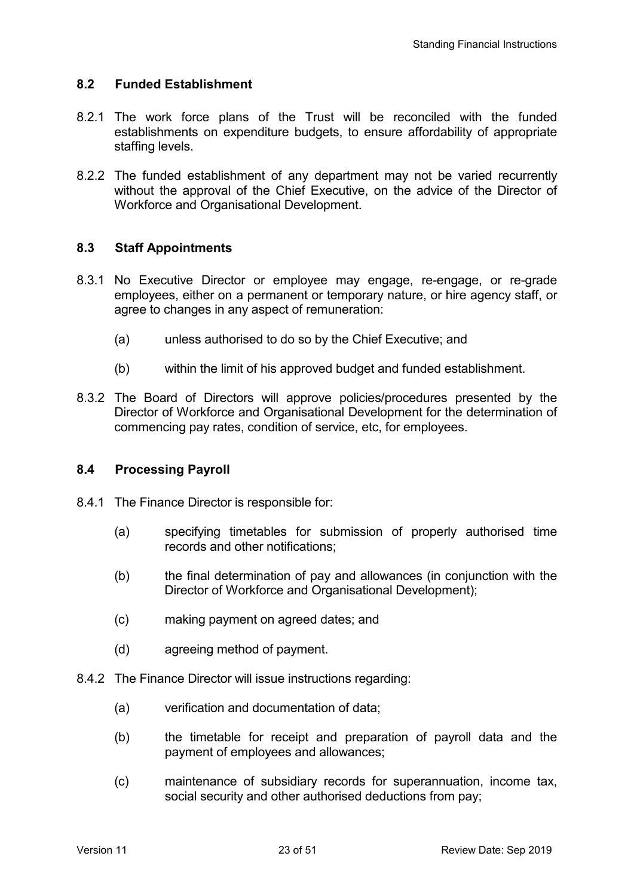### **8.2 Funded Establishment**

- 8.2.1 The work force plans of the Trust will be reconciled with the funded establishments on expenditure budgets, to ensure affordability of appropriate staffing levels.
- 8.2.2 The funded establishment of any department may not be varied recurrently without the approval of the Chief Executive, on the advice of the Director of Workforce and Organisational Development.

### **8.3 Staff Appointments**

- 8.3.1 No Executive Director or employee may engage, re-engage, or re-grade employees, either on a permanent or temporary nature, or hire agency staff, or agree to changes in any aspect of remuneration:
	- (a) unless authorised to do so by the Chief Executive; and
	- (b) within the limit of his approved budget and funded establishment.
- 8.3.2 The Board of Directors will approve policies/procedures presented by the Director of Workforce and Organisational Development for the determination of commencing pay rates, condition of service, etc, for employees.

### **8.4 Processing Payroll**

- 8.4.1 The Finance Director is responsible for:
	- (a) specifying timetables for submission of properly authorised time records and other notifications;
	- (b) the final determination of pay and allowances (in conjunction with the Director of Workforce and Organisational Development);
	- (c) making payment on agreed dates; and
	- (d) agreeing method of payment.
- 8.4.2 The Finance Director will issue instructions regarding:
	- (a) verification and documentation of data;
	- (b) the timetable for receipt and preparation of payroll data and the payment of employees and allowances;
	- (c) maintenance of subsidiary records for superannuation, income tax, social security and other authorised deductions from pay;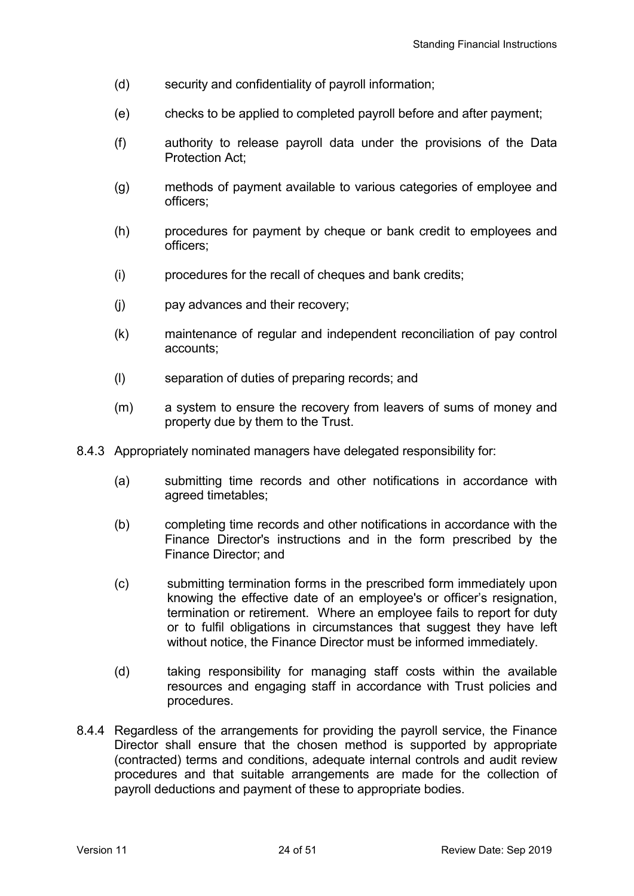- (d) security and confidentiality of payroll information;
- (e) checks to be applied to completed payroll before and after payment;
- (f) authority to release payroll data under the provisions of the Data Protection Act;
- (g) methods of payment available to various categories of employee and officers;
- (h) procedures for payment by cheque or bank credit to employees and officers;
- (i) procedures for the recall of cheques and bank credits;
- (j) pay advances and their recovery;
- (k) maintenance of regular and independent reconciliation of pay control accounts;
- (l) separation of duties of preparing records; and
- (m) a system to ensure the recovery from leavers of sums of money and property due by them to the Trust.
- 8.4.3 Appropriately nominated managers have delegated responsibility for:
	- (a) submitting time records and other notifications in accordance with agreed timetables;
	- (b) completing time records and other notifications in accordance with the Finance Director's instructions and in the form prescribed by the Finance Director; and
	- (c) submitting termination forms in the prescribed form immediately upon knowing the effective date of an employee's or officer's resignation, termination or retirement. Where an employee fails to report for duty or to fulfil obligations in circumstances that suggest they have left without notice, the Finance Director must be informed immediately.
	- (d) taking responsibility for managing staff costs within the available resources and engaging staff in accordance with Trust policies and procedures.
- 8.4.4 Regardless of the arrangements for providing the payroll service, the Finance Director shall ensure that the chosen method is supported by appropriate (contracted) terms and conditions, adequate internal controls and audit review procedures and that suitable arrangements are made for the collection of payroll deductions and payment of these to appropriate bodies.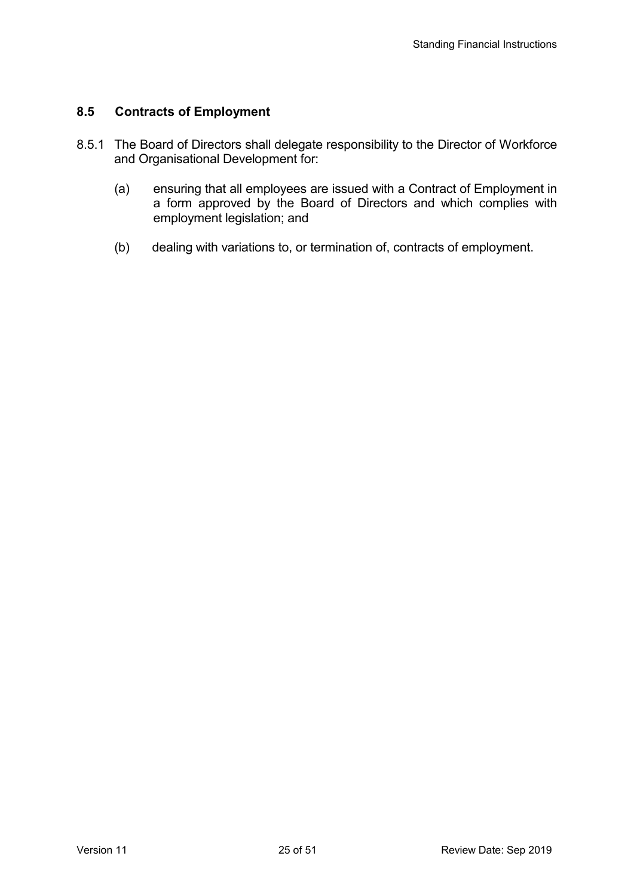## **8.5 Contracts of Employment**

- 8.5.1 The Board of Directors shall delegate responsibility to the Director of Workforce and Organisational Development for:
	- (a) ensuring that all employees are issued with a Contract of Employment in a form approved by the Board of Directors and which complies with employment legislation; and
	- (b) dealing with variations to, or termination of, contracts of employment.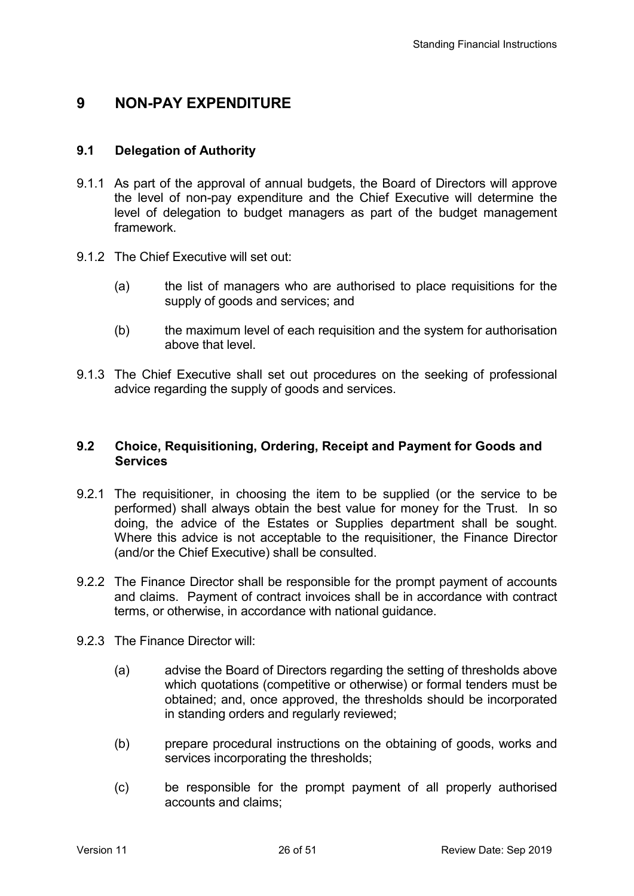## **9 NON-PAY EXPENDITURE**

### **9.1 Delegation of Authority**

- 9.1.1 As part of the approval of annual budgets, the Board of Directors will approve the level of non-pay expenditure and the Chief Executive will determine the level of delegation to budget managers as part of the budget management framework.
- 9.1.2 The Chief Executive will set out:
	- (a) the list of managers who are authorised to place requisitions for the supply of goods and services; and
	- (b) the maximum level of each requisition and the system for authorisation above that level.
- 9.1.3 The Chief Executive shall set out procedures on the seeking of professional advice regarding the supply of goods and services.

### **9.2 Choice, Requisitioning, Ordering, Receipt and Payment for Goods and Services**

- 9.2.1 The requisitioner, in choosing the item to be supplied (or the service to be performed) shall always obtain the best value for money for the Trust. In so doing, the advice of the Estates or Supplies department shall be sought. Where this advice is not acceptable to the requisitioner, the Finance Director (and/or the Chief Executive) shall be consulted.
- 9.2.2 The Finance Director shall be responsible for the prompt payment of accounts and claims. Payment of contract invoices shall be in accordance with contract terms, or otherwise, in accordance with national guidance.
- 9.2.3 The Finance Director will:
	- (a) advise the Board of Directors regarding the setting of thresholds above which quotations (competitive or otherwise) or formal tenders must be obtained; and, once approved, the thresholds should be incorporated in standing orders and regularly reviewed;
	- (b) prepare procedural instructions on the obtaining of goods, works and services incorporating the thresholds;
	- (c) be responsible for the prompt payment of all properly authorised accounts and claims;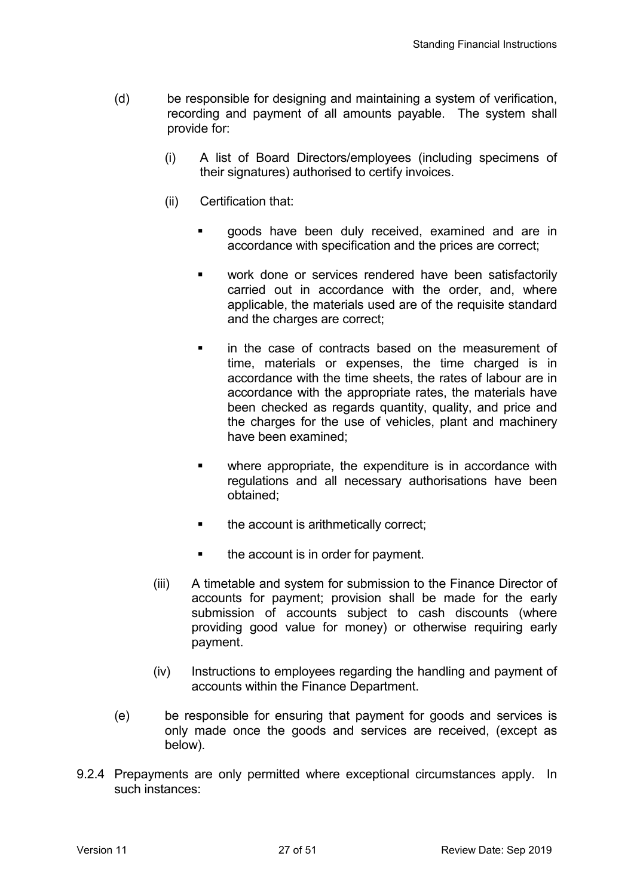- (d) be responsible for designing and maintaining a system of verification, recording and payment of all amounts payable. The system shall provide for:
	- (i) A list of Board Directors/employees (including specimens of their signatures) authorised to certify invoices.
	- (ii) Certification that:
		- goods have been duly received, examined and are in accordance with specification and the prices are correct;
		- work done or services rendered have been satisfactorily carried out in accordance with the order, and, where applicable, the materials used are of the requisite standard and the charges are correct;
		- **i** in the case of contracts based on the measurement of time, materials or expenses, the time charged is in accordance with the time sheets, the rates of labour are in accordance with the appropriate rates, the materials have been checked as regards quantity, quality, and price and the charges for the use of vehicles, plant and machinery have been examined;
		- where appropriate, the expenditure is in accordance with regulations and all necessary authorisations have been obtained;
		- the account is arithmetically correct;
		- the account is in order for payment.
	- (iii) A timetable and system for submission to the Finance Director of accounts for payment; provision shall be made for the early submission of accounts subject to cash discounts (where providing good value for money) or otherwise requiring early payment.
	- (iv) Instructions to employees regarding the handling and payment of accounts within the Finance Department.
- (e) be responsible for ensuring that payment for goods and services is only made once the goods and services are received, (except as below).
- 9.2.4 Prepayments are only permitted where exceptional circumstances apply. In such instances: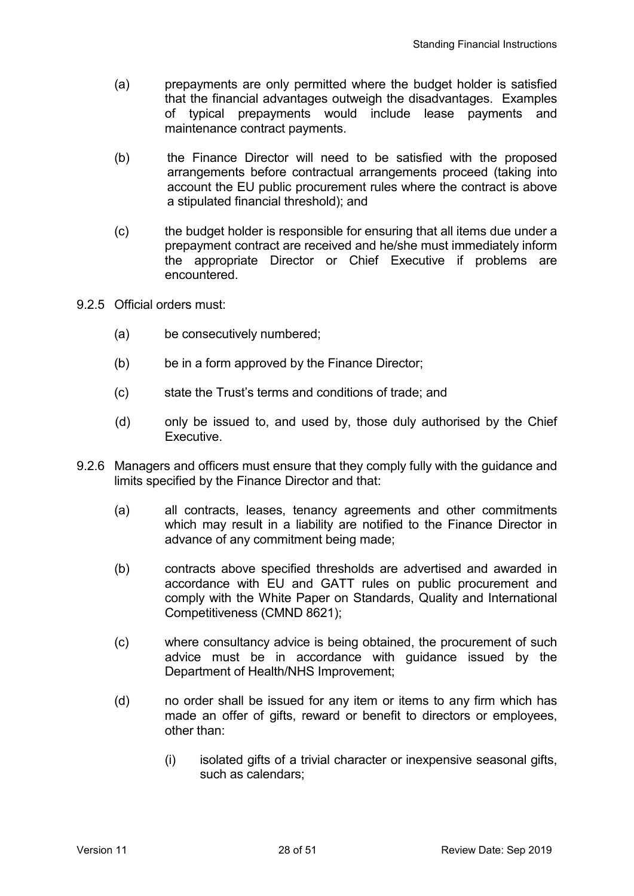- (a) prepayments are only permitted where the budget holder is satisfied that the financial advantages outweigh the disadvantages. Examples of typical prepayments would include lease payments and maintenance contract payments.
- (b) the Finance Director will need to be satisfied with the proposed arrangements before contractual arrangements proceed (taking into account the EU public procurement rules where the contract is above a stipulated financial threshold); and
- (c) the budget holder is responsible for ensuring that all items due under a prepayment contract are received and he/she must immediately inform the appropriate Director or Chief Executive if problems are encountered.
- 9.2.5 Official orders must:
	- (a) be consecutively numbered;
	- (b) be in a form approved by the Finance Director;
	- (c) state the Trust's terms and conditions of trade; and
	- (d) only be issued to, and used by, those duly authorised by the Chief Executive.
- 9.2.6 Managers and officers must ensure that they comply fully with the guidance and limits specified by the Finance Director and that:
	- (a) all contracts, leases, tenancy agreements and other commitments which may result in a liability are notified to the Finance Director in advance of any commitment being made;
	- (b) contracts above specified thresholds are advertised and awarded in accordance with EU and GATT rules on public procurement and comply with the White Paper on Standards, Quality and International Competitiveness (CMND 8621);
	- (c) where consultancy advice is being obtained, the procurement of such advice must be in accordance with guidance issued by the Department of Health/NHS Improvement;
	- (d) no order shall be issued for any item or items to any firm which has made an offer of gifts, reward or benefit to directors or employees, other than:
		- (i) isolated gifts of a trivial character or inexpensive seasonal gifts, such as calendars;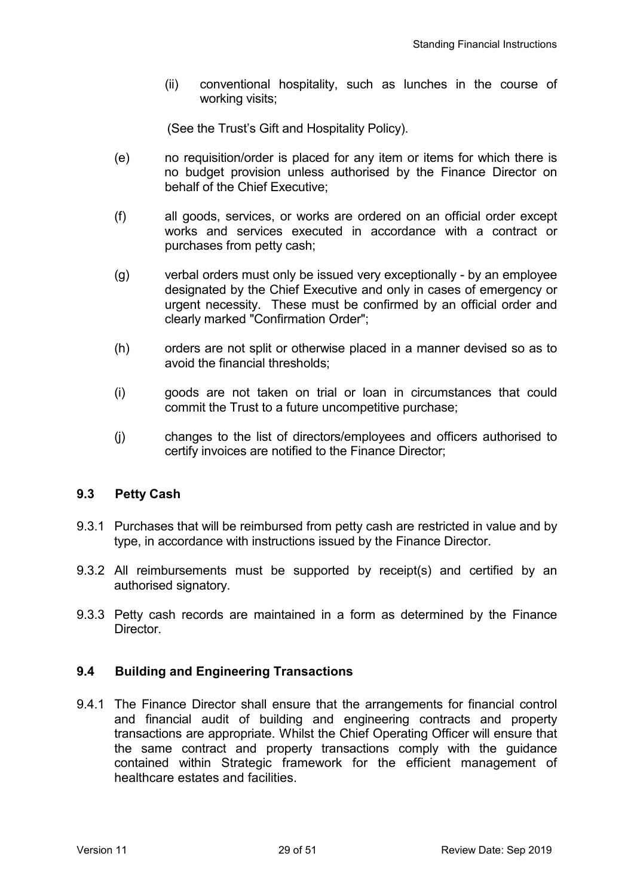(ii) conventional hospitality, such as lunches in the course of working visits;

(See the Trust's Gift and Hospitality Policy).

- (e) no requisition/order is placed for any item or items for which there is no budget provision unless authorised by the Finance Director on behalf of the Chief Executive;
- (f) all goods, services, or works are ordered on an official order except works and services executed in accordance with a contract or purchases from petty cash;
- (g) verbal orders must only be issued very exceptionally by an employee designated by the Chief Executive and only in cases of emergency or urgent necessity. These must be confirmed by an official order and clearly marked "Confirmation Order";
- (h) orders are not split or otherwise placed in a manner devised so as to avoid the financial thresholds;
- (i) goods are not taken on trial or loan in circumstances that could commit the Trust to a future uncompetitive purchase;
- (j) changes to the list of directors/employees and officers authorised to certify invoices are notified to the Finance Director;

### **9.3 Petty Cash**

- 9.3.1 Purchases that will be reimbursed from petty cash are restricted in value and by type, in accordance with instructions issued by the Finance Director.
- 9.3.2 All reimbursements must be supported by receipt(s) and certified by an authorised signatory.
- 9.3.3 Petty cash records are maintained in a form as determined by the Finance **Director**

### **9.4 Building and Engineering Transactions**

9.4.1 The Finance Director shall ensure that the arrangements for financial control and financial audit of building and engineering contracts and property transactions are appropriate. Whilst the Chief Operating Officer will ensure that the same contract and property transactions comply with the guidance contained within Strategic framework for the efficient management of healthcare estates and facilities.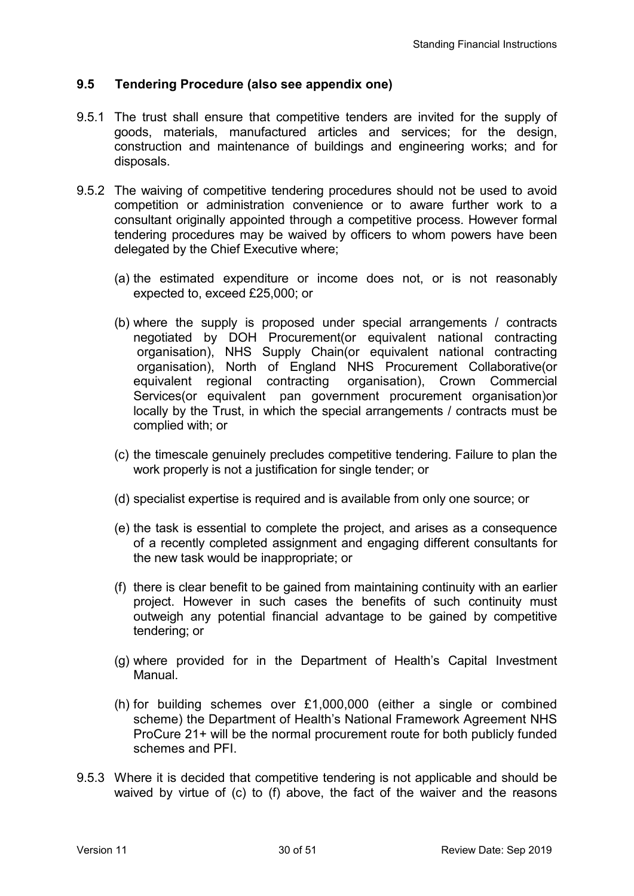### **9.5 Tendering Procedure (also see appendix one)**

- 9.5.1 The trust shall ensure that competitive tenders are invited for the supply of goods, materials, manufactured articles and services; for the design, construction and maintenance of buildings and engineering works; and for disposals.
- 9.5.2 The waiving of competitive tendering procedures should not be used to avoid competition or administration convenience or to aware further work to a consultant originally appointed through a competitive process. However formal tendering procedures may be waived by officers to whom powers have been delegated by the Chief Executive where;
	- (a) the estimated expenditure or income does not, or is not reasonably expected to, exceed £25,000; or
	- (b) where the supply is proposed under special arrangements / contracts negotiated by DOH Procurement(or equivalent national contracting organisation), NHS Supply Chain(or equivalent national contracting organisation), North of England NHS Procurement Collaborative(or equivalent regional contracting organisation), Crown Commercial Services(or equivalent pan government procurement organisation)or locally by the Trust, in which the special arrangements / contracts must be complied with; or
	- (c) the timescale genuinely precludes competitive tendering. Failure to plan the work properly is not a justification for single tender; or
	- (d) specialist expertise is required and is available from only one source; or
	- (e) the task is essential to complete the project, and arises as a consequence of a recently completed assignment and engaging different consultants for the new task would be inappropriate; or
	- (f) there is clear benefit to be gained from maintaining continuity with an earlier project. However in such cases the benefits of such continuity must outweigh any potential financial advantage to be gained by competitive tendering; or
	- (g) where provided for in the Department of Health's Capital Investment Manual.
	- (h) for building schemes over £1,000,000 (either a single or combined scheme) the Department of Health's National Framework Agreement NHS ProCure 21+ will be the normal procurement route for both publicly funded schemes and PFI.
- 9.5.3 Where it is decided that competitive tendering is not applicable and should be waived by virtue of (c) to (f) above, the fact of the waiver and the reasons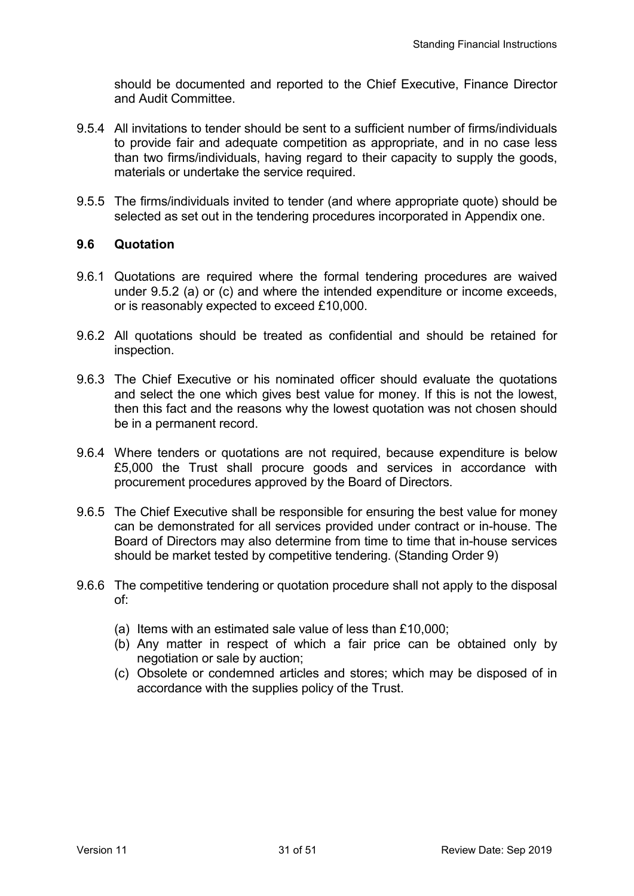should be documented and reported to the Chief Executive, Finance Director and Audit Committee.

- 9.5.4 All invitations to tender should be sent to a sufficient number of firms/individuals to provide fair and adequate competition as appropriate, and in no case less than two firms/individuals, having regard to their capacity to supply the goods, materials or undertake the service required.
- 9.5.5 The firms/individuals invited to tender (and where appropriate quote) should be selected as set out in the tendering procedures incorporated in Appendix one.

### **9.6 Quotation**

- 9.6.1 Quotations are required where the formal tendering procedures are waived under 9.5.2 (a) or (c) and where the intended expenditure or income exceeds, or is reasonably expected to exceed £10,000.
- 9.6.2 All quotations should be treated as confidential and should be retained for inspection.
- 9.6.3 The Chief Executive or his nominated officer should evaluate the quotations and select the one which gives best value for money. If this is not the lowest, then this fact and the reasons why the lowest quotation was not chosen should be in a permanent record.
- 9.6.4 Where tenders or quotations are not required, because expenditure is below £5,000 the Trust shall procure goods and services in accordance with procurement procedures approved by the Board of Directors.
- 9.6.5 The Chief Executive shall be responsible for ensuring the best value for money can be demonstrated for all services provided under contract or in-house. The Board of Directors may also determine from time to time that in-house services should be market tested by competitive tendering. (Standing Order 9)
- 9.6.6 The competitive tendering or quotation procedure shall not apply to the disposal of:
	- (a) Items with an estimated sale value of less than £10,000;
	- (b) Any matter in respect of which a fair price can be obtained only by negotiation or sale by auction;
	- (c) Obsolete or condemned articles and stores; which may be disposed of in accordance with the supplies policy of the Trust.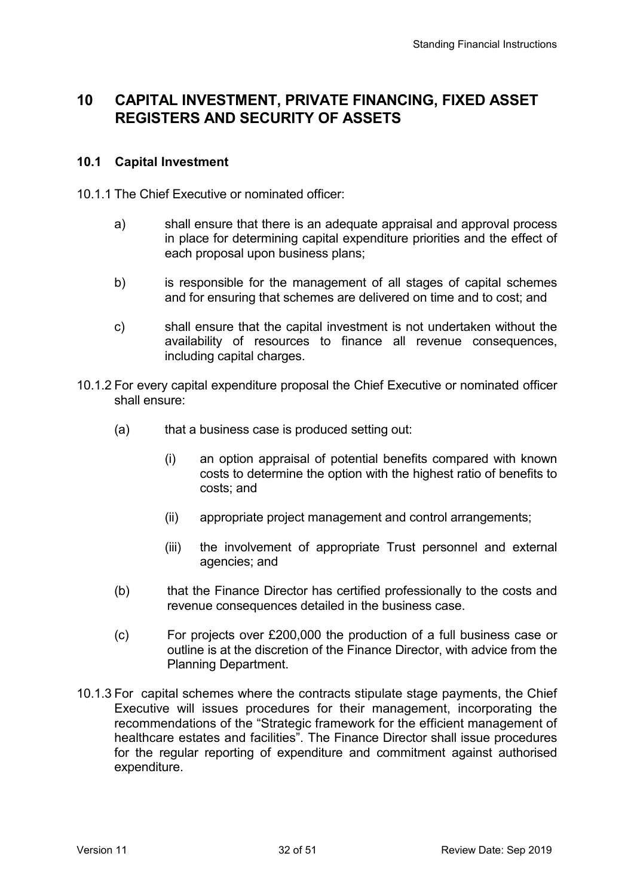# **10 CAPITAL INVESTMENT, PRIVATE FINANCING, FIXED ASSET REGISTERS AND SECURITY OF ASSETS**

#### **10.1 Capital Investment**

- 10.1.1 The Chief Executive or nominated officer:
	- a) shall ensure that there is an adequate appraisal and approval process in place for determining capital expenditure priorities and the effect of each proposal upon business plans;
	- b) is responsible for the management of all stages of capital schemes and for ensuring that schemes are delivered on time and to cost; and
	- c) shall ensure that the capital investment is not undertaken without the availability of resources to finance all revenue consequences, including capital charges.
- 10.1.2 For every capital expenditure proposal the Chief Executive or nominated officer shall ensure:
	- (a) that a business case is produced setting out:
		- (i) an option appraisal of potential benefits compared with known costs to determine the option with the highest ratio of benefits to costs; and
		- (ii) appropriate project management and control arrangements;
		- (iii) the involvement of appropriate Trust personnel and external agencies; and
	- (b) that the Finance Director has certified professionally to the costs and revenue consequences detailed in the business case.
	- (c) For projects over £200,000 the production of a full business case or outline is at the discretion of the Finance Director, with advice from the Planning Department.
- 10.1.3 For capital schemes where the contracts stipulate stage payments, the Chief Executive will issues procedures for their management, incorporating the recommendations of the "Strategic framework for the efficient management of healthcare estates and facilities". The Finance Director shall issue procedures for the regular reporting of expenditure and commitment against authorised expenditure.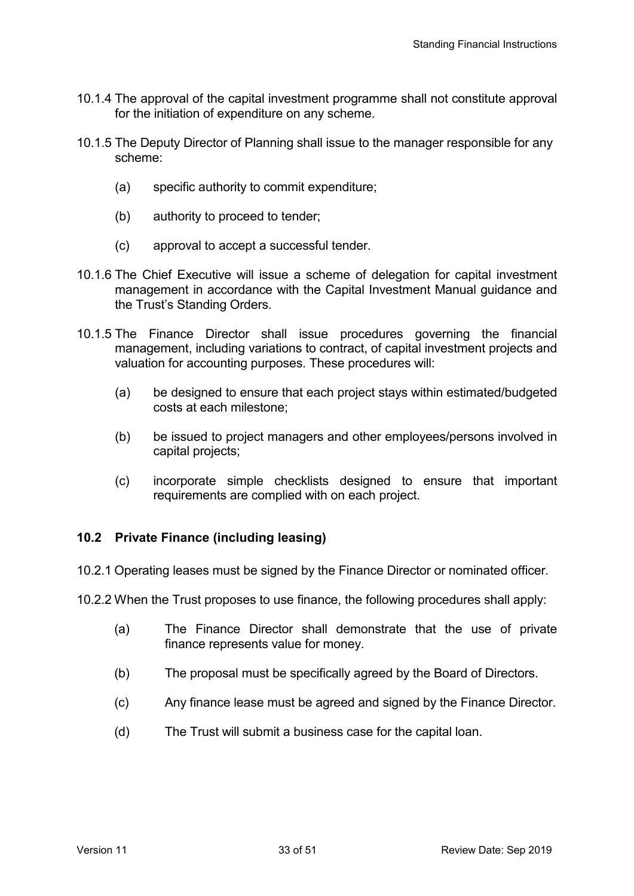- 10.1.4 The approval of the capital investment programme shall not constitute approval for the initiation of expenditure on any scheme.
- 10.1.5 The Deputy Director of Planning shall issue to the manager responsible for any scheme:
	- (a) specific authority to commit expenditure;
	- (b) authority to proceed to tender;
	- (c) approval to accept a successful tender.
- 10.1.6 The Chief Executive will issue a scheme of delegation for capital investment management in accordance with the Capital Investment Manual guidance and the Trust's Standing Orders.
- 10.1.5 The Finance Director shall issue procedures governing the financial management, including variations to contract, of capital investment projects and valuation for accounting purposes. These procedures will:
	- (a) be designed to ensure that each project stays within estimated/budgeted costs at each milestone;
	- (b) be issued to project managers and other employees/persons involved in capital projects;
	- (c) incorporate simple checklists designed to ensure that important requirements are complied with on each project.

### **10.2 Private Finance (including leasing)**

- 10.2.1 Operating leases must be signed by the Finance Director or nominated officer.
- 10.2.2 When the Trust proposes to use finance, the following procedures shall apply:
	- (a) The Finance Director shall demonstrate that the use of private finance represents value for money.
	- (b) The proposal must be specifically agreed by the Board of Directors.
	- (c) Any finance lease must be agreed and signed by the Finance Director.
	- (d) The Trust will submit a business case for the capital loan.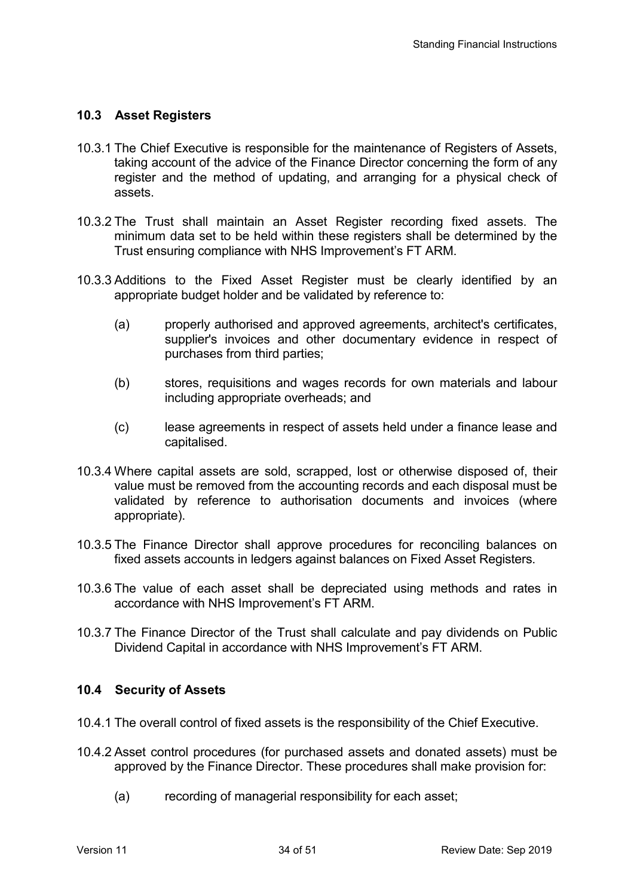### **10.3 Asset Registers**

- 10.3.1 The Chief Executive is responsible for the maintenance of Registers of Assets, taking account of the advice of the Finance Director concerning the form of any register and the method of updating, and arranging for a physical check of assets.
- 10.3.2 The Trust shall maintain an Asset Register recording fixed assets. The minimum data set to be held within these registers shall be determined by the Trust ensuring compliance with NHS Improvement's FT ARM.
- 10.3.3 Additions to the Fixed Asset Register must be clearly identified by an appropriate budget holder and be validated by reference to:
	- (a) properly authorised and approved agreements, architect's certificates, supplier's invoices and other documentary evidence in respect of purchases from third parties;
	- (b) stores, requisitions and wages records for own materials and labour including appropriate overheads; and
	- (c) lease agreements in respect of assets held under a finance lease and capitalised.
- 10.3.4 Where capital assets are sold, scrapped, lost or otherwise disposed of, their value must be removed from the accounting records and each disposal must be validated by reference to authorisation documents and invoices (where appropriate).
- 10.3.5 The Finance Director shall approve procedures for reconciling balances on fixed assets accounts in ledgers against balances on Fixed Asset Registers.
- 10.3.6 The value of each asset shall be depreciated using methods and rates in accordance with NHS Improvement's FT ARM.
- 10.3.7 The Finance Director of the Trust shall calculate and pay dividends on Public Dividend Capital in accordance with NHS Improvement's FT ARM.

#### **10.4 Security of Assets**

- 10.4.1 The overall control of fixed assets is the responsibility of the Chief Executive.
- 10.4.2 Asset control procedures (for purchased assets and donated assets) must be approved by the Finance Director. These procedures shall make provision for:
	- (a) recording of managerial responsibility for each asset;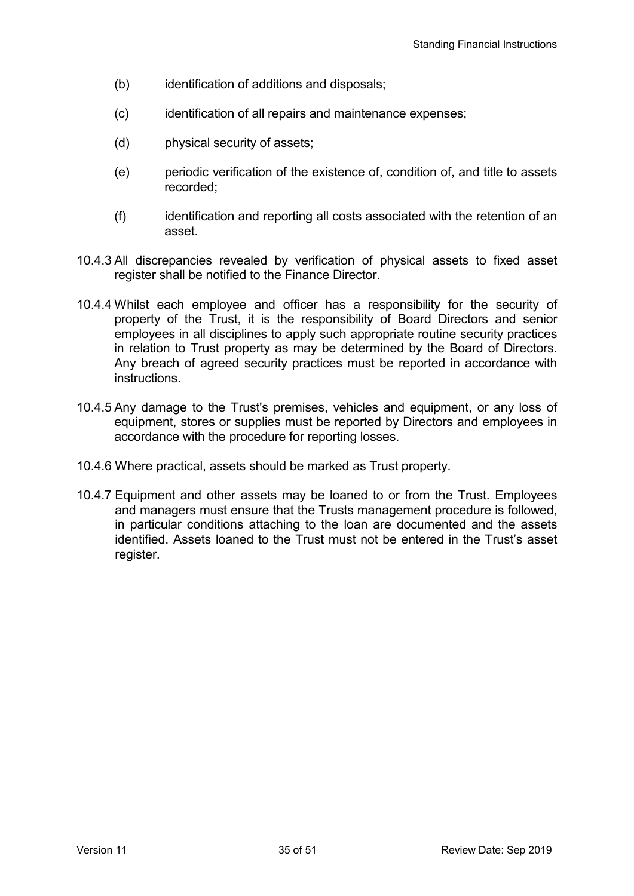- (b) identification of additions and disposals;
- (c) identification of all repairs and maintenance expenses;
- (d) physical security of assets;
- (e) periodic verification of the existence of, condition of, and title to assets recorded;
- (f) identification and reporting all costs associated with the retention of an asset.
- 10.4.3 All discrepancies revealed by verification of physical assets to fixed asset register shall be notified to the Finance Director.
- 10.4.4 Whilst each employee and officer has a responsibility for the security of property of the Trust, it is the responsibility of Board Directors and senior employees in all disciplines to apply such appropriate routine security practices in relation to Trust property as may be determined by the Board of Directors. Any breach of agreed security practices must be reported in accordance with instructions.
- 10.4.5 Any damage to the Trust's premises, vehicles and equipment, or any loss of equipment, stores or supplies must be reported by Directors and employees in accordance with the procedure for reporting losses.
- 10.4.6 Where practical, assets should be marked as Trust property.
- 10.4.7 Equipment and other assets may be loaned to or from the Trust. Employees and managers must ensure that the Trusts management procedure is followed, in particular conditions attaching to the loan are documented and the assets identified. Assets loaned to the Trust must not be entered in the Trust's asset register.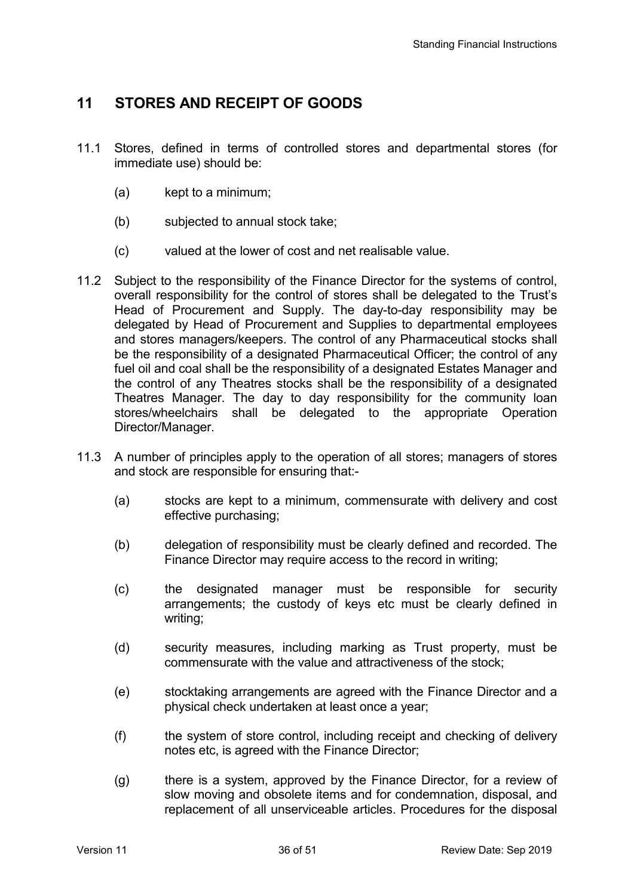## **11 STORES AND RECEIPT OF GOODS**

- 11.1 Stores, defined in terms of controlled stores and departmental stores (for immediate use) should be:
	- (a) kept to a minimum;
	- (b) subjected to annual stock take;
	- (c) valued at the lower of cost and net realisable value.
- 11.2 Subject to the responsibility of the Finance Director for the systems of control, overall responsibility for the control of stores shall be delegated to the Trust's Head of Procurement and Supply. The day-to-day responsibility may be delegated by Head of Procurement and Supplies to departmental employees and stores managers/keepers. The control of any Pharmaceutical stocks shall be the responsibility of a designated Pharmaceutical Officer; the control of any fuel oil and coal shall be the responsibility of a designated Estates Manager and the control of any Theatres stocks shall be the responsibility of a designated Theatres Manager. The day to day responsibility for the community loan stores/wheelchairs shall be delegated to the appropriate Operation Director/Manager.
- 11.3 A number of principles apply to the operation of all stores; managers of stores and stock are responsible for ensuring that:-
	- (a) stocks are kept to a minimum, commensurate with delivery and cost effective purchasing;
	- (b) delegation of responsibility must be clearly defined and recorded. The Finance Director may require access to the record in writing;
	- (c) the designated manager must be responsible for security arrangements; the custody of keys etc must be clearly defined in writing;
	- (d) security measures, including marking as Trust property, must be commensurate with the value and attractiveness of the stock;
	- (e) stocktaking arrangements are agreed with the Finance Director and a physical check undertaken at least once a year;
	- (f) the system of store control, including receipt and checking of delivery notes etc, is agreed with the Finance Director;
	- (g) there is a system, approved by the Finance Director, for a review of slow moving and obsolete items and for condemnation, disposal, and replacement of all unserviceable articles. Procedures for the disposal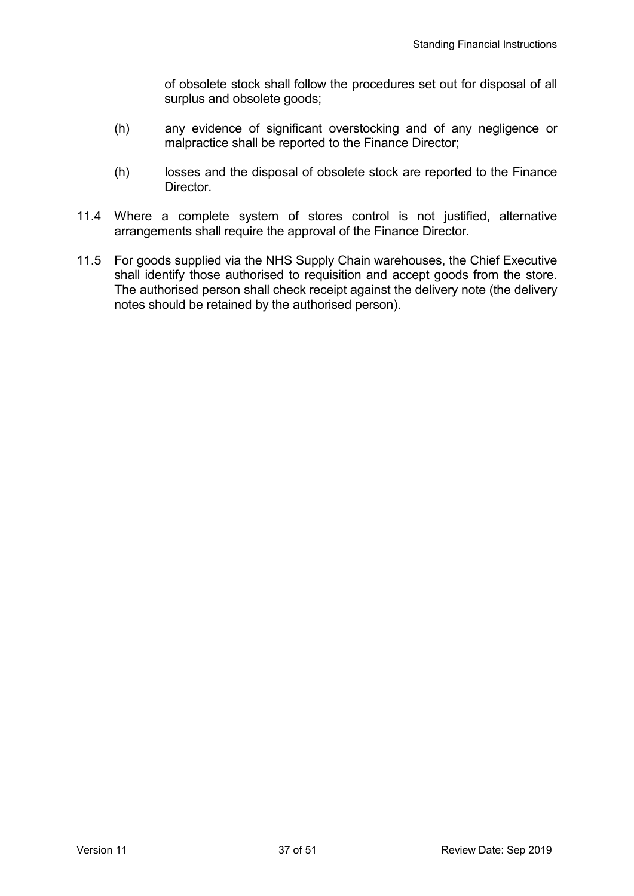of obsolete stock shall follow the procedures set out for disposal of all surplus and obsolete goods;

- (h) any evidence of significant overstocking and of any negligence or malpractice shall be reported to the Finance Director;
- (h) losses and the disposal of obsolete stock are reported to the Finance Director.
- 11.4 Where a complete system of stores control is not justified, alternative arrangements shall require the approval of the Finance Director.
- 11.5 For goods supplied via the NHS Supply Chain warehouses, the Chief Executive shall identify those authorised to requisition and accept goods from the store. The authorised person shall check receipt against the delivery note (the delivery notes should be retained by the authorised person).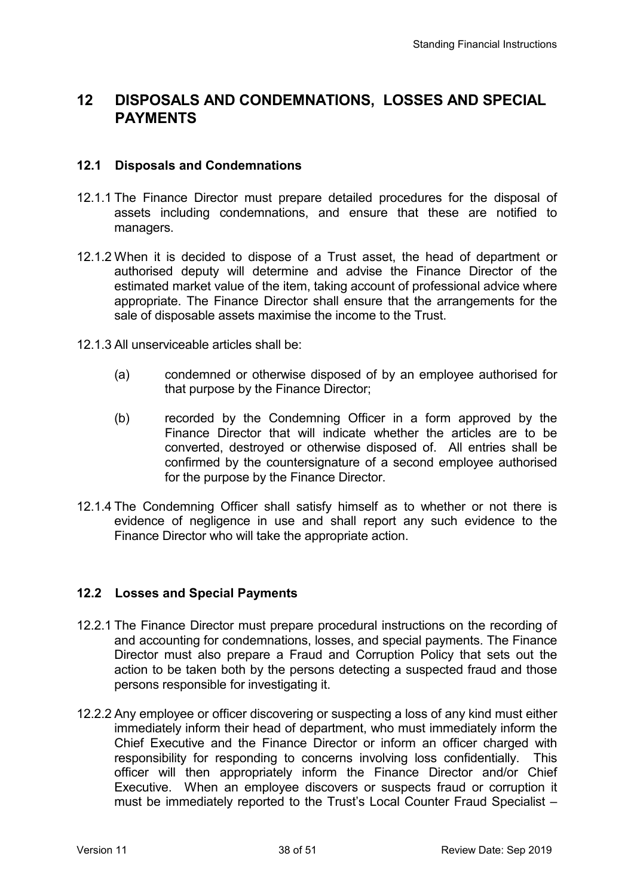# **12 DISPOSALS AND CONDEMNATIONS, LOSSES AND SPECIAL PAYMENTS**

### **12.1 Disposals and Condemnations**

- 12.1.1 The Finance Director must prepare detailed procedures for the disposal of assets including condemnations, and ensure that these are notified to managers.
- 12.1.2 When it is decided to dispose of a Trust asset, the head of department or authorised deputy will determine and advise the Finance Director of the estimated market value of the item, taking account of professional advice where appropriate. The Finance Director shall ensure that the arrangements for the sale of disposable assets maximise the income to the Trust.
- 12.1.3 All unserviceable articles shall be:
	- (a) condemned or otherwise disposed of by an employee authorised for that purpose by the Finance Director;
	- (b) recorded by the Condemning Officer in a form approved by the Finance Director that will indicate whether the articles are to be converted, destroyed or otherwise disposed of. All entries shall be confirmed by the countersignature of a second employee authorised for the purpose by the Finance Director.
- 12.1.4 The Condemning Officer shall satisfy himself as to whether or not there is evidence of negligence in use and shall report any such evidence to the Finance Director who will take the appropriate action.

### **12.2 Losses and Special Payments**

- 12.2.1 The Finance Director must prepare procedural instructions on the recording of and accounting for condemnations, losses, and special payments. The Finance Director must also prepare a Fraud and Corruption Policy that sets out the action to be taken both by the persons detecting a suspected fraud and those persons responsible for investigating it.
- 12.2.2 Any employee or officer discovering or suspecting a loss of any kind must either immediately inform their head of department, who must immediately inform the Chief Executive and the Finance Director or inform an officer charged with responsibility for responding to concerns involving loss confidentially. This officer will then appropriately inform the Finance Director and/or Chief Executive. When an employee discovers or suspects fraud or corruption it must be immediately reported to the Trust's Local Counter Fraud Specialist –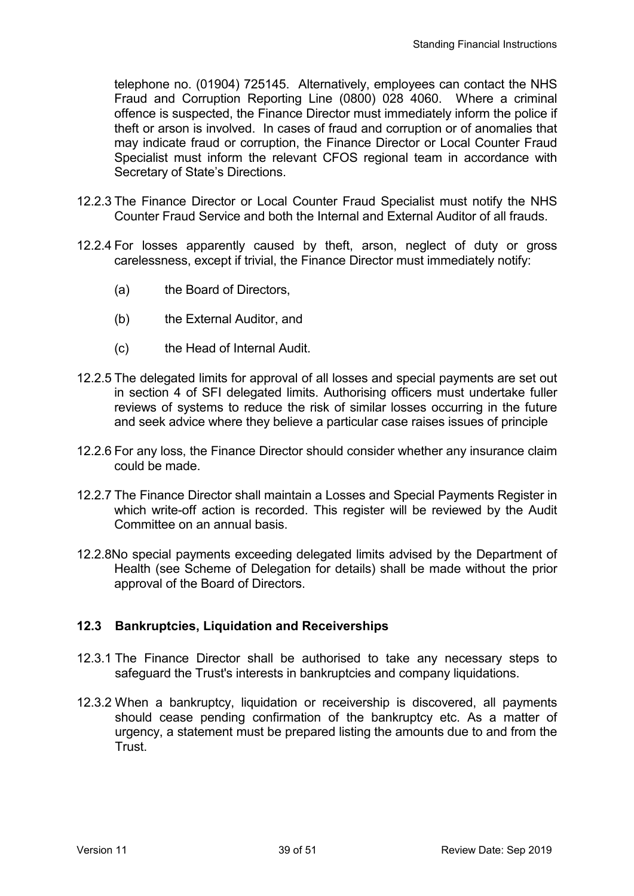telephone no. (01904) 725145. Alternatively, employees can contact the NHS Fraud and Corruption Reporting Line (0800) 028 4060. Where a criminal offence is suspected, the Finance Director must immediately inform the police if theft or arson is involved. In cases of fraud and corruption or of anomalies that may indicate fraud or corruption, the Finance Director or Local Counter Fraud Specialist must inform the relevant CFOS regional team in accordance with Secretary of State's Directions.

- 12.2.3 The Finance Director or Local Counter Fraud Specialist must notify the NHS Counter Fraud Service and both the Internal and External Auditor of all frauds.
- 12.2.4 For losses apparently caused by theft, arson, neglect of duty or gross carelessness, except if trivial, the Finance Director must immediately notify:
	- (a) the Board of Directors,
	- (b) the External Auditor, and
	- (c) the Head of Internal Audit.
- 12.2.5 The delegated limits for approval of all losses and special payments are set out in section 4 of SFI delegated limits. Authorising officers must undertake fuller reviews of systems to reduce the risk of similar losses occurring in the future and seek advice where they believe a particular case raises issues of principle
- 12.2.6 For any loss, the Finance Director should consider whether any insurance claim could be made.
- 12.2.7 The Finance Director shall maintain a Losses and Special Payments Register in which write-off action is recorded. This register will be reviewed by the Audit Committee on an annual basis.
- 12.2.8No special payments exceeding delegated limits advised by the Department of Health (see Scheme of Delegation for details) shall be made without the prior approval of the Board of Directors.

## **12.3 Bankruptcies, Liquidation and Receiverships**

- 12.3.1 The Finance Director shall be authorised to take any necessary steps to safeguard the Trust's interests in bankruptcies and company liquidations.
- 12.3.2 When a bankruptcy, liquidation or receivership is discovered, all payments should cease pending confirmation of the bankruptcy etc. As a matter of urgency, a statement must be prepared listing the amounts due to and from the Trust.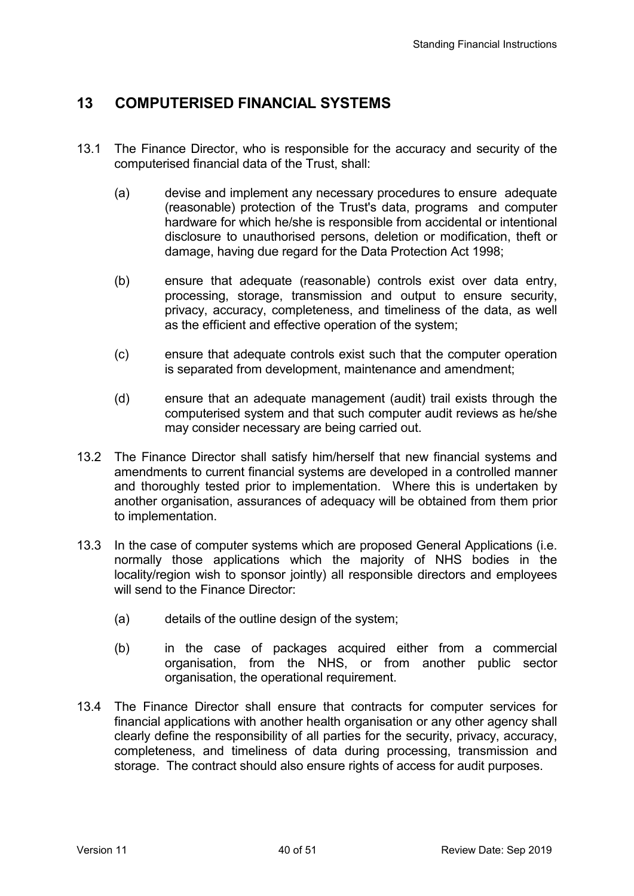# **13 COMPUTERISED FINANCIAL SYSTEMS**

- 13.1 The Finance Director, who is responsible for the accuracy and security of the computerised financial data of the Trust, shall:
	- (a) devise and implement any necessary procedures to ensure adequate (reasonable) protection of the Trust's data, programs and computer hardware for which he/she is responsible from accidental or intentional disclosure to unauthorised persons, deletion or modification, theft or damage, having due regard for the Data Protection Act 1998;
	- (b) ensure that adequate (reasonable) controls exist over data entry, processing, storage, transmission and output to ensure security, privacy, accuracy, completeness, and timeliness of the data, as well as the efficient and effective operation of the system;
	- (c) ensure that adequate controls exist such that the computer operation is separated from development, maintenance and amendment;
	- (d) ensure that an adequate management (audit) trail exists through the computerised system and that such computer audit reviews as he/she may consider necessary are being carried out.
- 13.2 The Finance Director shall satisfy him/herself that new financial systems and amendments to current financial systems are developed in a controlled manner and thoroughly tested prior to implementation. Where this is undertaken by another organisation, assurances of adequacy will be obtained from them prior to implementation.
- 13.3 In the case of computer systems which are proposed General Applications (i.e. normally those applications which the majority of NHS bodies in the locality/region wish to sponsor jointly) all responsible directors and employees will send to the Finance Director:
	- (a) details of the outline design of the system;
	- (b) in the case of packages acquired either from a commercial organisation, from the NHS, or from another public sector organisation, the operational requirement.
- 13.4 The Finance Director shall ensure that contracts for computer services for financial applications with another health organisation or any other agency shall clearly define the responsibility of all parties for the security, privacy, accuracy, completeness, and timeliness of data during processing, transmission and storage. The contract should also ensure rights of access for audit purposes.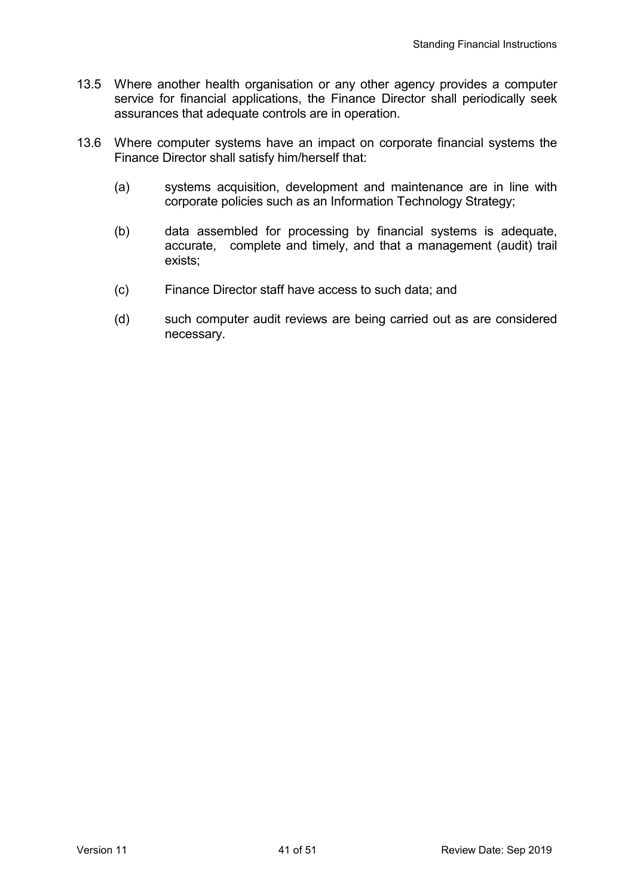- 13.5 Where another health organisation or any other agency provides a computer service for financial applications, the Finance Director shall periodically seek assurances that adequate controls are in operation.
- 13.6 Where computer systems have an impact on corporate financial systems the Finance Director shall satisfy him/herself that:
	- (a) systems acquisition, development and maintenance are in line with corporate policies such as an Information Technology Strategy;
	- (b) data assembled for processing by financial systems is adequate, accurate, complete and timely, and that a management (audit) trail exists;
	- (c) Finance Director staff have access to such data; and
	- (d) such computer audit reviews are being carried out as are considered necessary.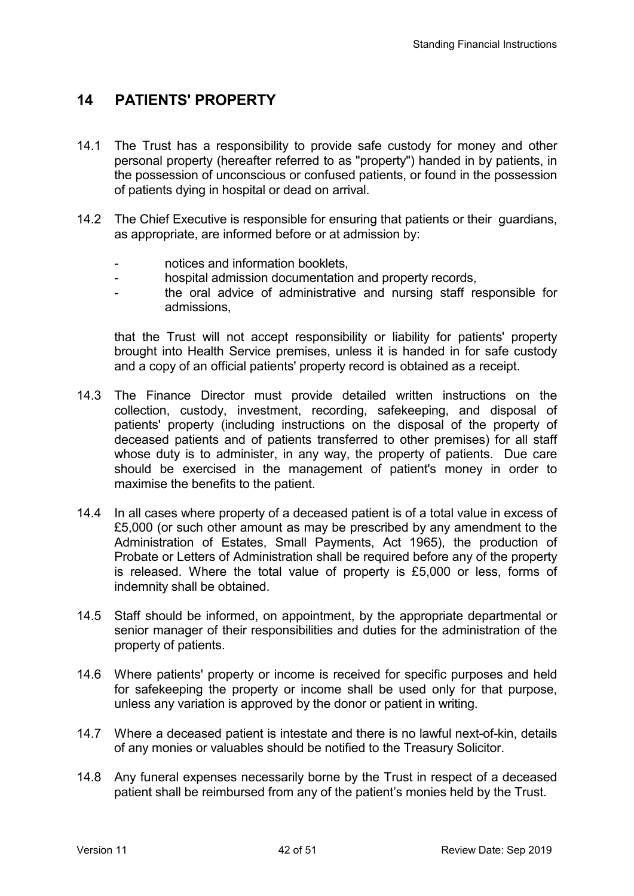# **14 PATIENTS' PROPERTY**

- 14.1 The Trust has a responsibility to provide safe custody for money and other personal property (hereafter referred to as "property") handed in by patients, in the possession of unconscious or confused patients, or found in the possession of patients dying in hospital or dead on arrival.
- 14.2 The Chief Executive is responsible for ensuring that patients or their guardians, as appropriate, are informed before or at admission by:
	- notices and information booklets,
	- hospital admission documentation and property records,
	- the oral advice of administrative and nursing staff responsible for admissions,

 that the Trust will not accept responsibility or liability for patients' property brought into Health Service premises, unless it is handed in for safe custody and a copy of an official patients' property record is obtained as a receipt.

- 14.3 The Finance Director must provide detailed written instructions on the collection, custody, investment, recording, safekeeping, and disposal of patients' property (including instructions on the disposal of the property of deceased patients and of patients transferred to other premises) for all staff whose duty is to administer, in any way, the property of patients. Due care should be exercised in the management of patient's money in order to maximise the benefits to the patient.
- 14.4 In all cases where property of a deceased patient is of a total value in excess of £5,000 (or such other amount as may be prescribed by any amendment to the Administration of Estates, Small Payments, Act 1965), the production of Probate or Letters of Administration shall be required before any of the property is released. Where the total value of property is £5,000 or less, forms of indemnity shall be obtained.
- 14.5 Staff should be informed, on appointment, by the appropriate departmental or senior manager of their responsibilities and duties for the administration of the property of patients.
- 14.6 Where patients' property or income is received for specific purposes and held for safekeeping the property or income shall be used only for that purpose, unless any variation is approved by the donor or patient in writing.
- 14.7 Where a deceased patient is intestate and there is no lawful next-of-kin, details of any monies or valuables should be notified to the Treasury Solicitor.
- 14.8 Any funeral expenses necessarily borne by the Trust in respect of a deceased patient shall be reimbursed from any of the patient's monies held by the Trust.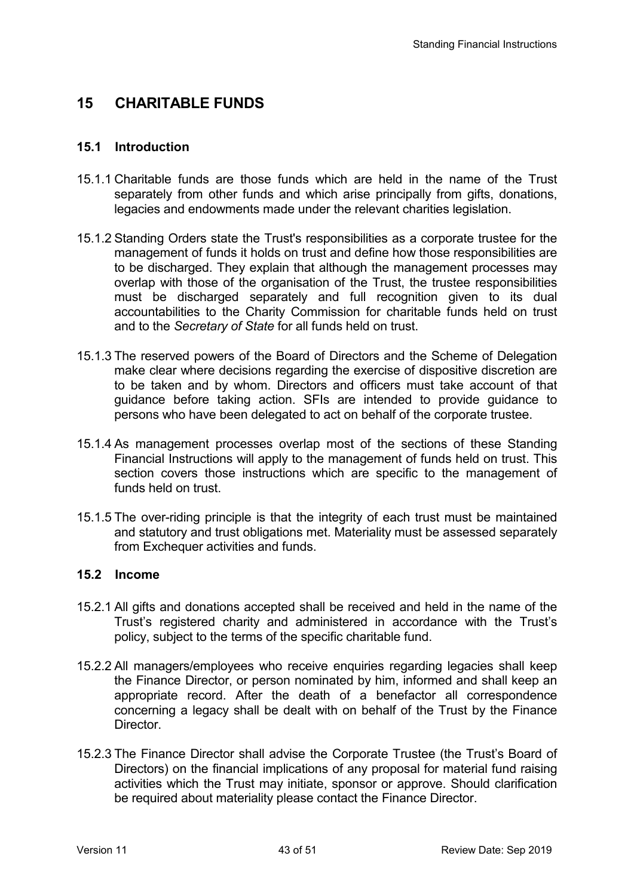## **15 CHARITABLE FUNDS**

### **15.1 Introduction**

- 15.1.1 Charitable funds are those funds which are held in the name of the Trust separately from other funds and which arise principally from gifts, donations, legacies and endowments made under the relevant charities legislation.
- 15.1.2 Standing Orders state the Trust's responsibilities as a corporate trustee for the management of funds it holds on trust and define how those responsibilities are to be discharged. They explain that although the management processes may overlap with those of the organisation of the Trust, the trustee responsibilities must be discharged separately and full recognition given to its dual accountabilities to the Charity Commission for charitable funds held on trust and to the *Secretary of State* for all funds held on trust.
- 15.1.3 The reserved powers of the Board of Directors and the Scheme of Delegation make clear where decisions regarding the exercise of dispositive discretion are to be taken and by whom. Directors and officers must take account of that guidance before taking action. SFIs are intended to provide guidance to persons who have been delegated to act on behalf of the corporate trustee.
- 15.1.4 As management processes overlap most of the sections of these Standing Financial Instructions will apply to the management of funds held on trust. This section covers those instructions which are specific to the management of funds held on trust.
- 15.1.5 The over-riding principle is that the integrity of each trust must be maintained and statutory and trust obligations met. Materiality must be assessed separately from Exchequer activities and funds.

### **15.2 Income**

- 15.2.1 All gifts and donations accepted shall be received and held in the name of the Trust's registered charity and administered in accordance with the Trust's policy, subject to the terms of the specific charitable fund.
- 15.2.2 All managers/employees who receive enquiries regarding legacies shall keep the Finance Director, or person nominated by him, informed and shall keep an appropriate record. After the death of a benefactor all correspondence concerning a legacy shall be dealt with on behalf of the Trust by the Finance Director.
- 15.2.3 The Finance Director shall advise the Corporate Trustee (the Trust's Board of Directors) on the financial implications of any proposal for material fund raising activities which the Trust may initiate, sponsor or approve. Should clarification be required about materiality please contact the Finance Director.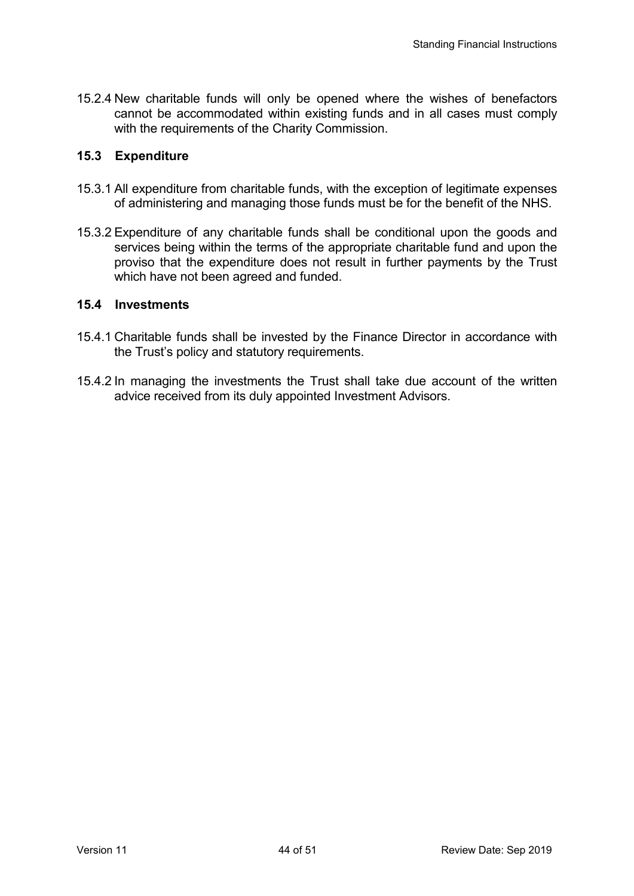15.2.4 New charitable funds will only be opened where the wishes of benefactors cannot be accommodated within existing funds and in all cases must comply with the requirements of the Charity Commission.

### **15.3 Expenditure**

- 15.3.1 All expenditure from charitable funds, with the exception of legitimate expenses of administering and managing those funds must be for the benefit of the NHS.
- 15.3.2 Expenditure of any charitable funds shall be conditional upon the goods and services being within the terms of the appropriate charitable fund and upon the proviso that the expenditure does not result in further payments by the Trust which have not been agreed and funded.

### **15.4 Investments**

- 15.4.1 Charitable funds shall be invested by the Finance Director in accordance with the Trust's policy and statutory requirements.
- 15.4.2 In managing the investments the Trust shall take due account of the written advice received from its duly appointed Investment Advisors.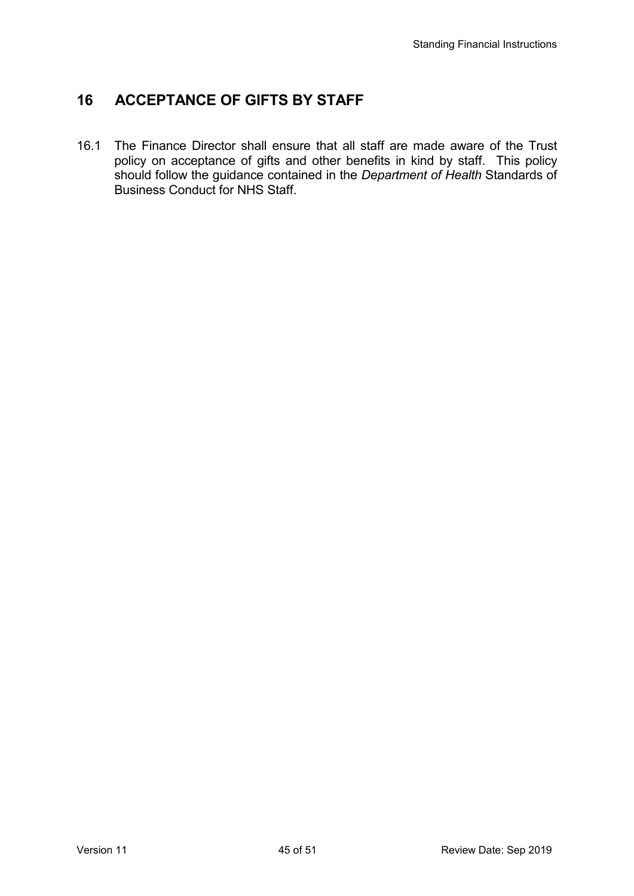# **16 ACCEPTANCE OF GIFTS BY STAFF**

16.1 The Finance Director shall ensure that all staff are made aware of the Trust policy on acceptance of gifts and other benefits in kind by staff. This policy should follow the guidance contained in the *Department of Health* Standards of Business Conduct for NHS Staff.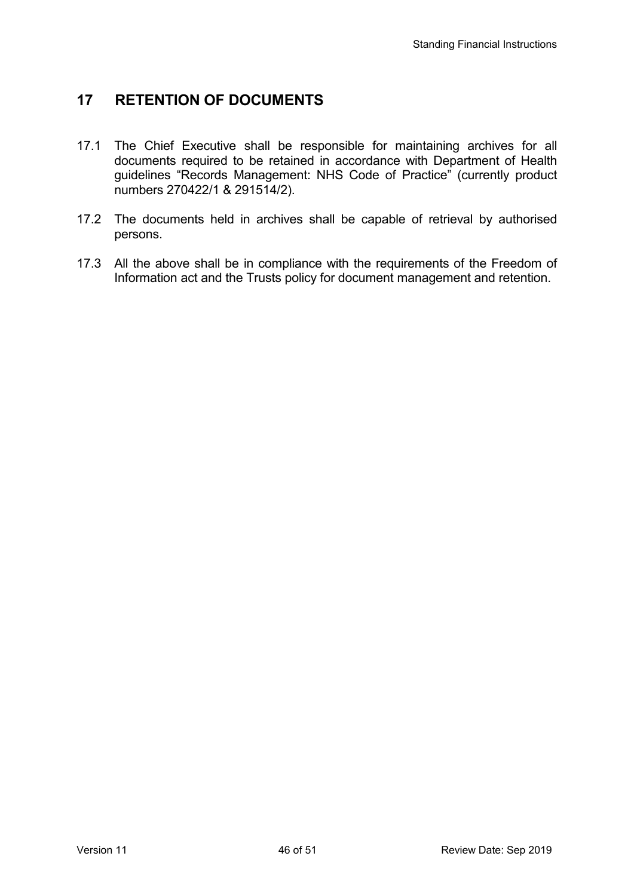# **17 RETENTION OF DOCUMENTS**

- 17.1 The Chief Executive shall be responsible for maintaining archives for all documents required to be retained in accordance with Department of Health guidelines "Records Management: NHS Code of Practice" (currently product numbers 270422/1 & 291514/2).
- 17.2 The documents held in archives shall be capable of retrieval by authorised persons.
- 17.3 All the above shall be in compliance with the requirements of the Freedom of Information act and the Trusts policy for document management and retention.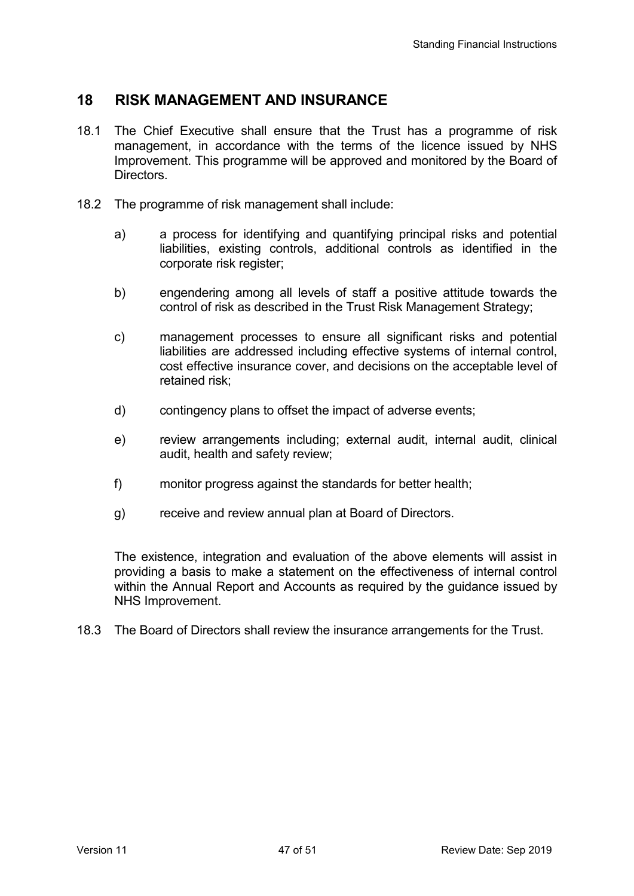## **18 RISK MANAGEMENT AND INSURANCE**

- 18.1 The Chief Executive shall ensure that the Trust has a programme of risk management, in accordance with the terms of the licence issued by NHS Improvement. This programme will be approved and monitored by the Board of Directors.
- 18.2 The programme of risk management shall include:
	- a) a process for identifying and quantifying principal risks and potential liabilities, existing controls, additional controls as identified in the corporate risk register;
	- b) engendering among all levels of staff a positive attitude towards the control of risk as described in the Trust Risk Management Strategy;
	- c) management processes to ensure all significant risks and potential liabilities are addressed including effective systems of internal control, cost effective insurance cover, and decisions on the acceptable level of retained risk;
	- d) contingency plans to offset the impact of adverse events;
	- e) review arrangements including; external audit, internal audit, clinical audit, health and safety review;
	- f) monitor progress against the standards for better health;
	- g) receive and review annual plan at Board of Directors.

 The existence, integration and evaluation of the above elements will assist in providing a basis to make a statement on the effectiveness of internal control within the Annual Report and Accounts as required by the guidance issued by NHS Improvement.

18.3 The Board of Directors shall review the insurance arrangements for the Trust.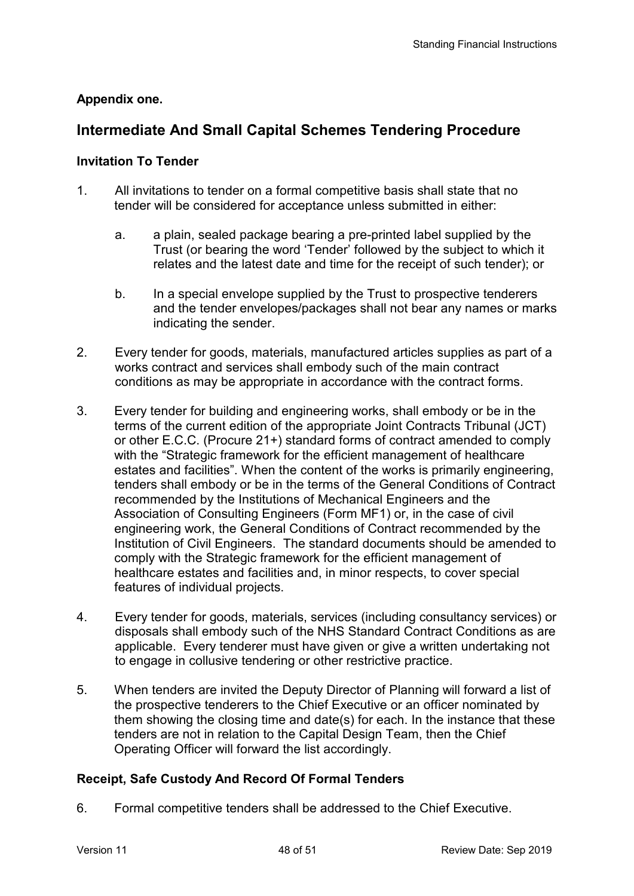## **Appendix one.**

# **Intermediate And Small Capital Schemes Tendering Procedure**

### **Invitation To Tender**

- 1. All invitations to tender on a formal competitive basis shall state that no tender will be considered for acceptance unless submitted in either:
	- a. a plain, sealed package bearing a pre-printed label supplied by the Trust (or bearing the word 'Tender' followed by the subject to which it relates and the latest date and time for the receipt of such tender); or
	- b. In a special envelope supplied by the Trust to prospective tenderers and the tender envelopes/packages shall not bear any names or marks indicating the sender.
- 2. Every tender for goods, materials, manufactured articles supplies as part of a works contract and services shall embody such of the main contract conditions as may be appropriate in accordance with the contract forms.
- 3. Every tender for building and engineering works, shall embody or be in the terms of the current edition of the appropriate Joint Contracts Tribunal (JCT) or other E.C.C. (Procure 21+) standard forms of contract amended to comply with the "Strategic framework for the efficient management of healthcare estates and facilities". When the content of the works is primarily engineering, tenders shall embody or be in the terms of the General Conditions of Contract recommended by the Institutions of Mechanical Engineers and the Association of Consulting Engineers (Form MF1) or, in the case of civil engineering work, the General Conditions of Contract recommended by the Institution of Civil Engineers. The standard documents should be amended to comply with the Strategic framework for the efficient management of healthcare estates and facilities and, in minor respects, to cover special features of individual projects.
- 4. Every tender for goods, materials, services (including consultancy services) or disposals shall embody such of the NHS Standard Contract Conditions as are applicable. Every tenderer must have given or give a written undertaking not to engage in collusive tendering or other restrictive practice.
- 5. When tenders are invited the Deputy Director of Planning will forward a list of the prospective tenderers to the Chief Executive or an officer nominated by them showing the closing time and date(s) for each. In the instance that these tenders are not in relation to the Capital Design Team, then the Chief Operating Officer will forward the list accordingly.

## **Receipt, Safe Custody And Record Of Formal Tenders**

6. Formal competitive tenders shall be addressed to the Chief Executive.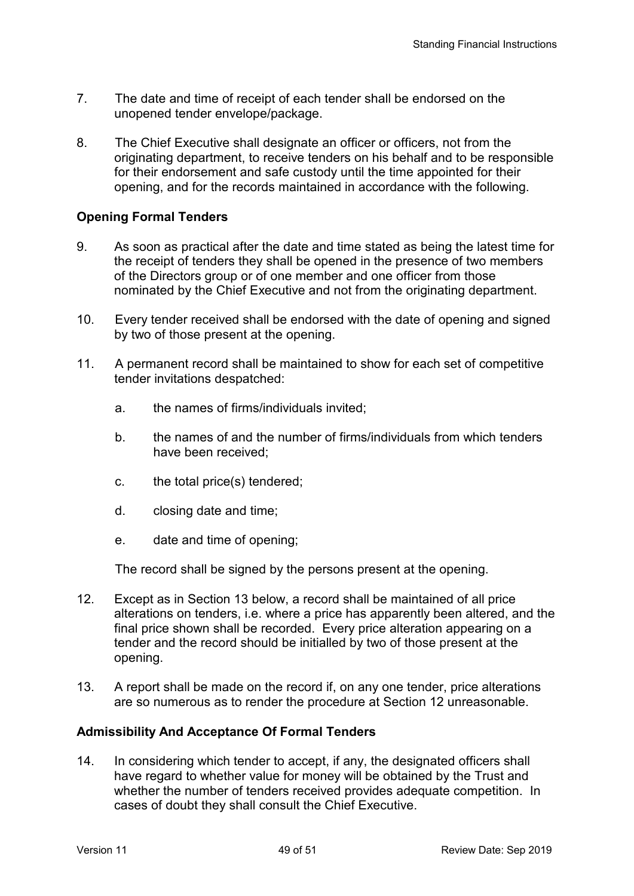- 7. The date and time of receipt of each tender shall be endorsed on the unopened tender envelope/package.
- 8. The Chief Executive shall designate an officer or officers, not from the originating department, to receive tenders on his behalf and to be responsible for their endorsement and safe custody until the time appointed for their opening, and for the records maintained in accordance with the following.

## **Opening Formal Tenders**

- 9. As soon as practical after the date and time stated as being the latest time for the receipt of tenders they shall be opened in the presence of two members of the Directors group or of one member and one officer from those nominated by the Chief Executive and not from the originating department.
- 10. Every tender received shall be endorsed with the date of opening and signed by two of those present at the opening.
- 11. A permanent record shall be maintained to show for each set of competitive tender invitations despatched:
	- a. the names of firms/individuals invited;
	- b. the names of and the number of firms/individuals from which tenders have been received;
	- c. the total price(s) tendered;
	- d. closing date and time;
	- e. date and time of opening;

The record shall be signed by the persons present at the opening.

- 12. Except as in Section 13 below, a record shall be maintained of all price alterations on tenders, i.e. where a price has apparently been altered, and the final price shown shall be recorded. Every price alteration appearing on a tender and the record should be initialled by two of those present at the opening.
- 13. A report shall be made on the record if, on any one tender, price alterations are so numerous as to render the procedure at Section 12 unreasonable.

## **Admissibility And Acceptance Of Formal Tenders**

14. In considering which tender to accept, if any, the designated officers shall have regard to whether value for money will be obtained by the Trust and whether the number of tenders received provides adequate competition. In cases of doubt they shall consult the Chief Executive.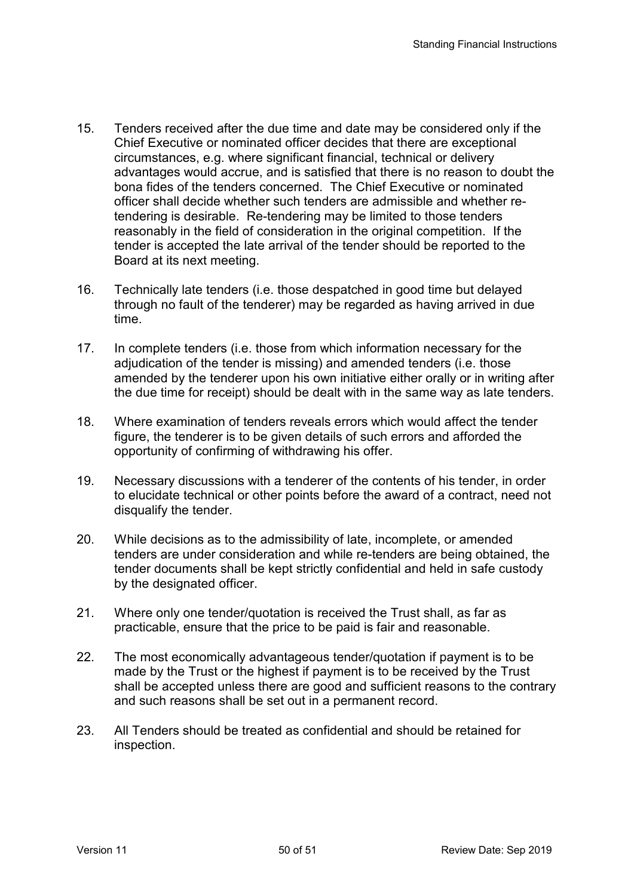- 15. Tenders received after the due time and date may be considered only if the Chief Executive or nominated officer decides that there are exceptional circumstances, e.g. where significant financial, technical or delivery advantages would accrue, and is satisfied that there is no reason to doubt the bona fides of the tenders concerned. The Chief Executive or nominated officer shall decide whether such tenders are admissible and whether retendering is desirable. Re-tendering may be limited to those tenders reasonably in the field of consideration in the original competition. If the tender is accepted the late arrival of the tender should be reported to the Board at its next meeting.
- 16. Technically late tenders (i.e. those despatched in good time but delayed through no fault of the tenderer) may be regarded as having arrived in due time.
- 17. In complete tenders (i.e. those from which information necessary for the adjudication of the tender is missing) and amended tenders (i.e. those amended by the tenderer upon his own initiative either orally or in writing after the due time for receipt) should be dealt with in the same way as late tenders.
- 18. Where examination of tenders reveals errors which would affect the tender figure, the tenderer is to be given details of such errors and afforded the opportunity of confirming of withdrawing his offer.
- 19. Necessary discussions with a tenderer of the contents of his tender, in order to elucidate technical or other points before the award of a contract, need not disqualify the tender.
- 20. While decisions as to the admissibility of late, incomplete, or amended tenders are under consideration and while re-tenders are being obtained, the tender documents shall be kept strictly confidential and held in safe custody by the designated officer.
- 21. Where only one tender/quotation is received the Trust shall, as far as practicable, ensure that the price to be paid is fair and reasonable.
- 22. The most economically advantageous tender/quotation if payment is to be made by the Trust or the highest if payment is to be received by the Trust shall be accepted unless there are good and sufficient reasons to the contrary and such reasons shall be set out in a permanent record.
- 23. All Tenders should be treated as confidential and should be retained for inspection.